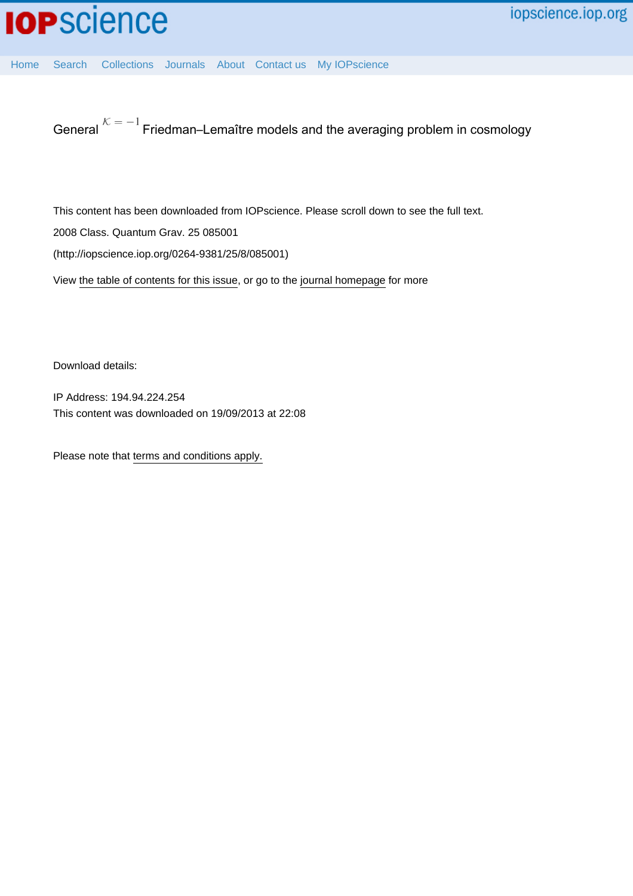

[Home](http://iopscience.iop.org/) [Search](http://iopscience.iop.org/search) [Collections](http://iopscience.iop.org/collections) [Journals](http://iopscience.iop.org/journals) [About](http://iopscience.iop.org/page/aboutioppublishing) [Contact us](http://iopscience.iop.org/contact) [My IOPscience](http://iopscience.iop.org/myiopscience)

General  $K = -1$  Friedman–Lemaître models and the averaging problem in cosmology

This content has been downloaded from IOPscience. Please scroll down to see the full text. 2008 Class. Quantum Grav. 25 085001

(http://iopscience.iop.org/0264-9381/25/8/085001)

View [the table of contents for this issue](http://iopscience.iop.org/0264-9381/25/8), or go to the [journal homepage](http://iopscience.iop.org/0264-9381) for more

Download details:

IP Address: 194.94.224.254 This content was downloaded on 19/09/2013 at 22:08

Please note that [terms and conditions apply.](iopscience.iop.org/page/terms)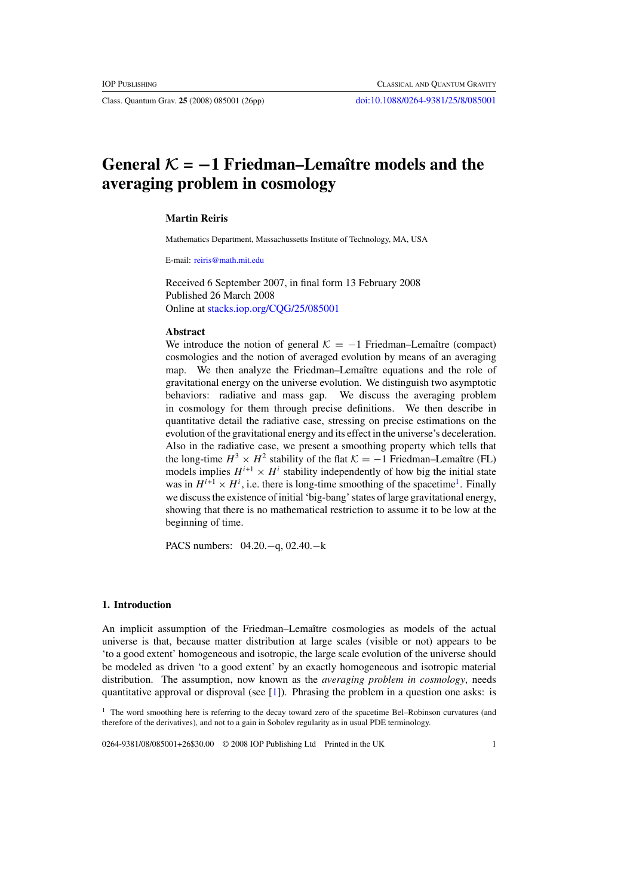# General  $K = -1$  Friedman–Lemaître models and the **averaging problem in cosmology**

# **Martin Reiris**

Mathematics Department, Massachussetts Institute of Technology, MA, USA

E-mail: [reiris@math.mit.edu](mailto:reiris@math.mit.edu)

Received 6 September 2007, in final form 13 February 2008 Published 26 March 2008 Online at [stacks.iop.org/CQG/25/085001](http://stacks.iop.org/ CQG/25/085001)

#### **Abstract**

We introduce the notion of general  $K = -1$  Friedman–Lemaître (compact) cosmologies and the notion of averaged evolution by means of an averaging map. We then analyze the Friedman–Lemaître equations and the role of gravitational energy on the universe evolution. We distinguish two asymptotic behaviors: radiative and mass gap. We discuss the averaging problem in cosmology for them through precise definitions. We then describe in quantitative detail the radiative case, stressing on precise estimations on the evolution of the gravitational energy and its effect in the universe's deceleration. Also in the radiative case, we present a smoothing property which tells that the long-time  $H^3 \times H^2$  stability of the flat  $K = -1$  Friedman–Lemaître (FL) models implies  $H^{i+1} \times H^i$  stability independently of how big the initial state was in  $H^{i+1} \times H^i$ , i.e. there is long-time smoothing of the spacetime<sup>1</sup>. Finally we discuss the existence of initial 'big-bang' states of large gravitational energy, showing that there is no mathematical restriction to assume it to be low at the beginning of time.

PACS numbers: 04.20.−q, 02.40.−k

# **1. Introduction**

An implicit assumption of the Friedman–Lemaître cosmologies as models of the actual universe is that, because matter distribution at large scales (visible or not) appears to be 'to a good extent' homogeneous and isotropic, the large scale evolution of the universe should be modeled as driven 'to a good extent' by an exactly homogeneous and isotropic material distribution. The assumption, now known as the *averaging problem in cosmology*, needs quantitative approval or disproval (see  $[1]$ ). Phrasing the problem in a question one asks: is

0264-9381/08/085001+26\$30.00 © 2008 IOP Publishing Ltd Printed in the UK 1

<sup>&</sup>lt;sup>1</sup> The word smoothing here is referring to the decay toward zero of the spacetime Bel–Robinson curvatures (and therefore of the derivatives), and not to a gain in Sobolev regularity as in usual PDE terminology.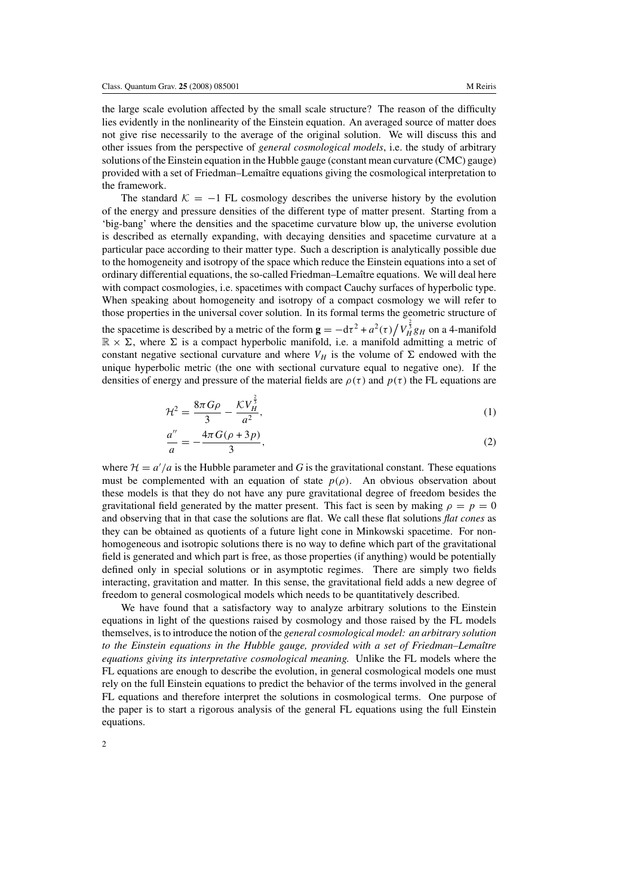<span id="page-2-0"></span>the large scale evolution affected by the small scale structure? The reason of the difficulty lies evidently in the nonlinearity of the Einstein equation. An averaged source of matter does not give rise necessarily to the average of the original solution. We will discuss this and other issues from the perspective of *general cosmological models*, i.e. the study of arbitrary solutions of the Einstein equation in the Hubble gauge (constant mean curvature (CMC) gauge) provided with a set of Friedman–Lemaître equations giving the cosmological interpretation to the framework.

The standard  $K = -1$  FL cosmology describes the universe history by the evolution of the energy and pressure densities of the different type of matter present. Starting from a 'big-bang' where the densities and the spacetime curvature blow up, the universe evolution is described as eternally expanding, with decaying densities and spacetime curvature at a particular pace according to their matter type. Such a description is analytically possible due to the homogeneity and isotropy of the space which reduce the Einstein equations into a set of ordinary differential equations, the so-called Friedman–Lemaître equations. We will deal here with compact cosmologies, i.e. spacetimes with compact Cauchy surfaces of hyperbolic type. When speaking about homogeneity and isotropy of a compact cosmology we will refer to those properties in the universal cover solution. In its formal terms the geometric structure of the spacetime is described by a metric of the form  $\mathbf{g} = -d\tau^2 + a^2(\tau)/V_H^{\frac{2}{3}}g_H$  on a 4-manifold  $\mathbb{R} \times \Sigma$ , where  $\Sigma$  is a compact hyperbolic manifold, i.e. a manifold admitting a metric of constant negative sectional curvature and where  $V_H$  is the volume of  $\Sigma$  endowed with the unique hyperbolic metric (the one with sectional curvature equal to negative one). If the densities of energy and pressure of the material fields are  $\rho(\tau)$  and  $p(\tau)$  the FL equations are

$$
\mathcal{H}^2 = \frac{8\pi G\rho}{3} - \frac{\mathcal{K}V_H^{\frac{2}{3}}}{a^2},\tag{1}
$$

$$
\frac{a''}{a} = -\frac{4\pi G(\rho + 3p)}{3},\tag{2}
$$

where  $H = a'/a$  is the Hubble parameter and G is the gravitational constant. These equations must be complemented with an equation of state  $p(\rho)$ . An obvious observation about these models is that they do not have any pure gravitational degree of freedom besides the gravitational field generated by the matter present. This fact is seen by making  $\rho = p = 0$ and observing that in that case the solutions are flat. We call these flat solutions *flat cones* as they can be obtained as quotients of a future light cone in Minkowski spacetime. For nonhomogeneous and isotropic solutions there is no way to define which part of the gravitational field is generated and which part is free, as those properties (if anything) would be potentially defined only in special solutions or in asymptotic regimes. There are simply two fields interacting, gravitation and matter. In this sense, the gravitational field adds a new degree of freedom to general cosmological models which needs to be quantitatively described.

We have found that a satisfactory way to analyze arbitrary solutions to the Einstein equations in light of the questions raised by cosmology and those raised by the FL models themselves, is to introduce the notion of the *general cosmological model: an arbitrary solution to the Einstein equations in the Hubble gauge, provided with a set of Friedman–Lemaître equations giving its interpretative cosmological meaning.* Unlike the FL models where the FL equations are enough to describe the evolution, in general cosmological models one must rely on the full Einstein equations to predict the behavior of the terms involved in the general FL equations and therefore interpret the solutions in cosmological terms. One purpose of the paper is to start a rigorous analysis of the general FL equations using the full Einstein equations.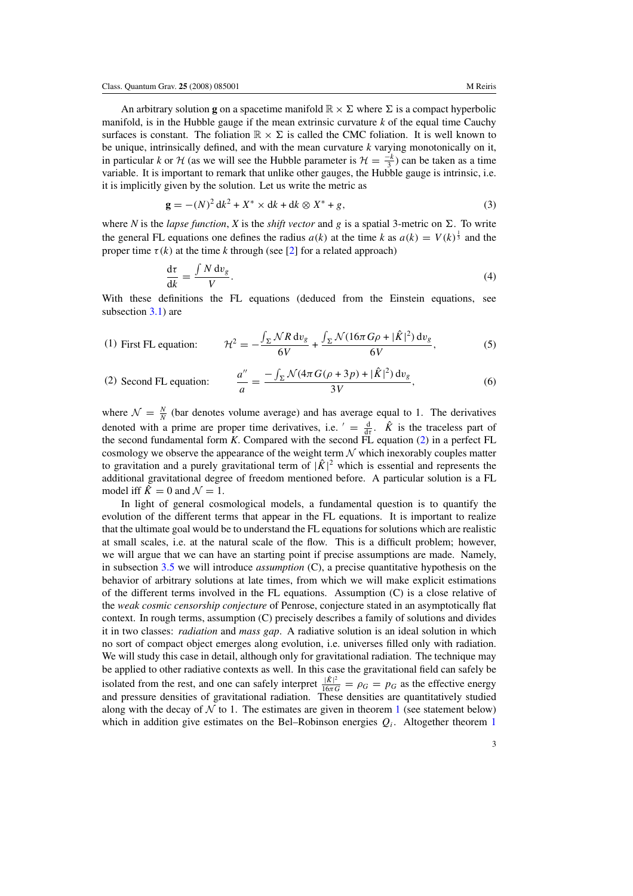An arbitrary solution **g** on a spacetime manifold  $\mathbb{R} \times \Sigma$  where  $\Sigma$  is a compact hyperbolic manifold, is in the Hubble gauge if the mean extrinsic curvature *k* of the equal time Cauchy surfaces is constant. The foliation  $\mathbb{R} \times \Sigma$  is called the CMC foliation. It is well known to be unique, intrinsically defined, and with the mean curvature *k* varying monotonically on it, in particular *k* or H (as we will see the Hubble parameter is  $\mathcal{H} = \frac{-k}{3}$ ) can be taken as a time variable. It is important to remark that unlike other gauges, the Hubble gauge is intrinsic, i.e. it is implicitly given by the solution. Let us write the metric as

$$
\mathbf{g} = -(N)^2 \, \mathrm{d}k^2 + X^* \times \mathrm{d}k + \mathrm{d}k \otimes X^* + g,\tag{3}
$$

where *N* is the *lapse function*, *X* is the *shift vector* and *g* is a spatial 3-metric on  $\Sigma$ . To write the general FL equations one defines the radius  $a(k)$  at the time k as  $a(k) = V(k)^{\frac{1}{3}}$  and the proper time  $\tau(k)$  at the time *k* through (see [\[2\]](#page-26-0) for a related approach)

$$
\frac{\mathrm{d}\tau}{\mathrm{d}k} = \frac{\int N \,\mathrm{d}v_g}{V}.\tag{4}
$$

With these definitions the FL equations (deduced from the Einstein equations, see subsection [3.1\)](#page-9-0) are

(1) First FL equation: 
$$
\mathcal{H}^2 = -\frac{\int_{\Sigma} \mathcal{N} R \, dv_g}{6V} + \frac{\int_{\Sigma} \mathcal{N} (16\pi G \rho + |\hat{K}|^2) \, dv_g}{6V},
$$
 (5)

(2) Second FL equation: 
$$
\frac{a''}{a} = \frac{-\int_{\Sigma} \mathcal{N}(4\pi G(\rho + 3p) + |\hat{K}|^2) dv_g}{3V},
$$
 (6)

where  $\mathcal{N} = \frac{N}{N}$  (bar denotes volume average) and has average equal to 1. The derivatives denoted with a prime are proper time derivatives, i.e.  $' = \frac{d}{dt}$ .  $\hat{K}$  is the traceless part of the second fundamental form  $K$ . Compared with the second  $\overrightarrow{FL}$  equation [\(2\)](#page-2-0) in a perfect FL cosmology we observe the appearance of the weight term  $N$  which inexorably couples matter to gravitation and a purely gravitational term of  $|\hat{K}|^2$  which is essential and represents the additional gravitational degree of freedom mentioned before. A particular solution is a FL model iff  $\hat{K} = 0$  and  $\mathcal{N} = 1$ .

In light of general cosmological models, a fundamental question is to quantify the evolution of the different terms that appear in the FL equations. It is important to realize that the ultimate goal would be to understand the FL equations for solutions which are realistic at small scales, i.e. at the natural scale of the flow. This is a difficult problem; however, we will argue that we can have an starting point if precise assumptions are made. Namely, in subsection [3.5](#page-15-0) we will introduce *assumption* (C), a precise quantitative hypothesis on the behavior of arbitrary solutions at late times, from which we will make explicit estimations of the different terms involved in the FL equations. Assumption (C) is a close relative of the *weak cosmic censorship conjecture* of Penrose, conjecture stated in an asymptotically flat context. In rough terms, assumption (C) precisely describes a family of solutions and divides it in two classes: *radiation* and *mass gap*. A radiative solution is an ideal solution in which no sort of compact object emerges along evolution, i.e. universes filled only with radiation. We will study this case in detail, although only for gravitational radiation. The technique may be applied to other radiative contexts as well. In this case the gravitational field can safely be isolated from the rest, and one can safely interpret  $\frac{|\hat{K}|^2}{16\pi G} = \rho_G = p_G$  as the effective energy and pressure densities of gravitational radiation. These densities are quantitatively studied along with the decay of  $N$  to [1](#page-4-0). The estimates are given in theorem 1 (see statement below) which in addition give estimates on the Bel–Robinson energies  $Q_i$ . Altogether theorem [1](#page-4-0)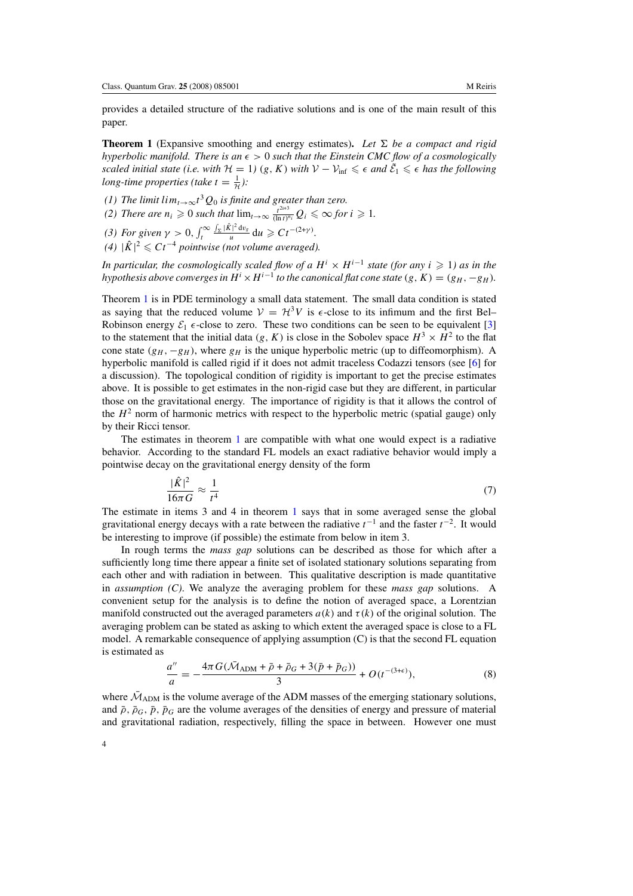<span id="page-4-0"></span>provides a detailed structure of the radiative solutions and is one of the main result of this paper.

**Theorem 1** (Expansive smoothing and energy estimates). Let  $\Sigma$  be a compact and rigid *hyperbolic manifold. There is an*  $\epsilon > 0$  *such that the Einstein CMC flow of a cosmologically scaled initial state (i.e. with*  $H = 1$ )  $(g, K)$  *with*  $V - V_{\text{inf}} \leq \epsilon$  *and*  $\tilde{E}_1 \leq \epsilon$  *has the following long-time properties (take t =*  $\frac{1}{\mathcal{H}}$ *):* 

- *(1)* The limit  $lim_{t\to\infty} t^3 Q_0$  is finite and greater than zero.
- *(2) There are*  $n_i \geq 0$  *such that*  $\lim_{t\to\infty} \frac{t^{2i+3}}{(\ln t)^{n_i}} Q_i \leq \infty$  for  $i \geq 1$ .
- *(3) For given*  $\gamma > 0$ ,  $\int_t^{\infty}$ *t*  $\frac{\int_{\Sigma} |\hat{K}|^2 dv_g}{u} du \geq C t^{-(2+\gamma)}$ .
- *(4)*  $|\hat{K}|^2$  ≤  $Ct^{-4}$  *pointwise (not volume averaged).*

*In particular, the cosmologically scaled flow of a H<sup>i</sup>* × *H<sup>i</sup>*−<sup>1</sup> *state (for any i* - 1*) as in the hypothesis above converges in*  $H^i \times H^{i-1}$  *to the canonical flat cone state*  $(g, K) = (g_H, -g_H)$ *.* 

Theorem 1 is in PDE terminology a small data statement. The small data condition is stated as saying that the reduced volume  $V = H^3V$  is  $\epsilon$ -close to its infimum and the first Bel– Robinson energy  $\mathcal{E}_1$   $\epsilon$ -close to zero. These two conditions can be seen to be equivalent [\[3](#page-26-0)] to the statement that the initial data  $(g, K)$  is close in the Sobolev space  $H^3 \times H^2$  to the flat cone state  $(g_H, -g_H)$ , where  $g_H$  is the unique hyperbolic metric (up to diffeomorphism). A hyperbolic manifold is called rigid if it does not admit traceless Codazzi tensors (see [\[6\]](#page-26-0) for a discussion). The topological condition of rigidity is important to get the precise estimates above. It is possible to get estimates in the non-rigid case but they are different, in particular those on the gravitational energy. The importance of rigidity is that it allows the control of the  $H<sup>2</sup>$  norm of harmonic metrics with respect to the hyperbolic metric (spatial gauge) only by their Ricci tensor.

The estimates in theorem 1 are compatible with what one would expect is a radiative behavior. According to the standard FL models an exact radiative behavior would imply a pointwise decay on the gravitational energy density of the form

$$
\frac{|\hat{K}|^2}{16\pi G} \approx \frac{1}{t^4} \tag{7}
$$

The estimate in items 3 and 4 in theorem 1 says that in some averaged sense the global gravitational energy decays with a rate between the radiative *t*−<sup>1</sup> and the faster *t*<sup>−</sup>2. It would be interesting to improve (if possible) the estimate from below in item 3.

In rough terms the *mass gap* solutions can be described as those for which after a sufficiently long time there appear a finite set of isolated stationary solutions separating from each other and with radiation in between. This qualitative description is made quantitative in *assumption (C)*. We analyze the averaging problem for these *mass gap* solutions. A convenient setup for the analysis is to define the notion of averaged space, a Lorentzian manifold constructed out the averaged parameters  $a(k)$  and  $\tau(k)$  of the original solution. The averaging problem can be stated as asking to which extent the averaged space is close to a FL model. A remarkable consequence of applying assumption (C) is that the second FL equation is estimated as

$$
\frac{a''}{a} = -\frac{4\pi G(\bar{\mathcal{M}}_{ADM} + \bar{\rho} + \bar{\rho}_G + 3(\bar{p} + \bar{p}_G))}{3} + O(t^{-(3+\epsilon)}),\tag{8}
$$

where  $\bar{M}_{ADM}$  is the volume average of the ADM masses of the emerging stationary solutions, and  $\bar{\rho}$ ,  $\bar{\rho}_G$ ,  $\bar{p}$ ,  $\bar{p}_G$  are the volume averages of the densities of energy and pressure of material and gravitational radiation, respectively, filling the space in between. However one must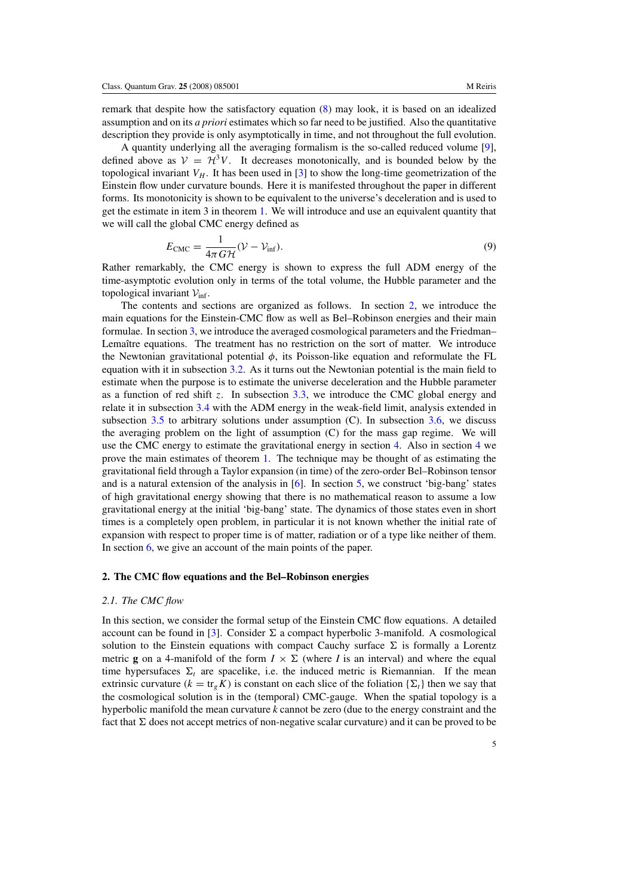remark that despite how the satisfactory equation [\(8\)](#page-4-0) may look, it is based on an idealized assumption and on its *a priori* estimates which so far need to be justified. Also the quantitative description they provide is only asymptotically in time, and not throughout the full evolution.

A quantity underlying all the averaging formalism is the so-called reduced volume [\[9\]](#page-26-0), defined above as  $V = H^3V$ . It decreases monotonically, and is bounded below by the topological invariant  $V_H$ . It has been used in [\[3](#page-26-0)] to show the long-time geometrization of the Einstein flow under curvature bounds. Here it is manifested throughout the paper in different forms. Its monotonicity is shown to be equivalent to the universe's deceleration and is used to get the estimate in item 3 in theorem [1.](#page-4-0) We will introduce and use an equivalent quantity that we will call the global CMC energy defined as

$$
E_{\rm CMC} = \frac{1}{4\pi G \mathcal{H}} (\mathcal{V} - \mathcal{V}_{\rm inf}).
$$
\n(9)

Rather remarkably, the CMC energy is shown to express the full ADM energy of the time-asymptotic evolution only in terms of the total volume, the Hubble parameter and the topological invariant  $V_{\text{inf}}$ .

The contents and sections are organized as follows. In section 2, we introduce the main equations for the Einstein-CMC flow as well as Bel–Robinson energies and their main formulae. In section [3,](#page-9-0) we introduce the averaged cosmological parameters and the Friedman– Lemaître equations. The treatment has no restriction on the sort of matter. We introduce the Newtonian gravitational potential  $\phi$ , its Poisson-like equation and reformulate the FL equation with it in subsection [3.2.](#page-12-0) As it turns out the Newtonian potential is the main field to estimate when the purpose is to estimate the universe deceleration and the Hubble parameter as a function of red shift *z*. In subsection [3.3,](#page-13-0) we introduce the CMC global energy and relate it in subsection [3.4](#page-13-0) with the ADM energy in the weak-field limit, analysis extended in subsection [3.5](#page-15-0) to arbitrary solutions under assumption (C). In subsection [3.6,](#page-17-0) we discuss the averaging problem on the light of assumption (C) for the mass gap regime. We will use the CMC energy to estimate the gravitational energy in section [4.](#page-18-0) Also in section [4](#page-18-0) we prove the main estimates of theorem [1.](#page-4-0) The technique may be thought of as estimating the gravitational field through a Taylor expansion (in time) of the zero-order Bel–Robinson tensor and is a natural extension of the analysis in [\[6\]](#page-26-0). In section [5,](#page-24-0) we construct 'big-bang' states of high gravitational energy showing that there is no mathematical reason to assume a low gravitational energy at the initial 'big-bang' state. The dynamics of those states even in short times is a completely open problem, in particular it is not known whether the initial rate of expansion with respect to proper time is of matter, radiation or of a type like neither of them. In section [6,](#page-25-0) we give an account of the main points of the paper.

### **2. The CMC flow equations and the Bel–Robinson energies**

#### *2.1. The CMC flow*

In this section, we consider the formal setup of the Einstein CMC flow equations. A detailed account can be found in [\[3](#page-26-0)]. Consider  $\Sigma$  a compact hyperbolic 3-manifold. A cosmological solution to the Einstein equations with compact Cauchy surface  $\Sigma$  is formally a Lorentz metric **g** on a 4-manifold of the form  $I \times \Sigma$  (where *I* is an interval) and where the equal time hypersufaces  $\Sigma_t$  are spacelike, i.e. the induced metric is Riemannian. If the mean extrinsic curvature ( $k = \text{tr}_g K$ ) is constant on each slice of the foliation { $\Sigma_t$ } then we say that the cosmological solution is in the (temporal) CMC-gauge. When the spatial topology is a hyperbolic manifold the mean curvature *k* cannot be zero (due to the energy constraint and the fact that  $\Sigma$  does not accept metrics of non-negative scalar curvature) and it can be proved to be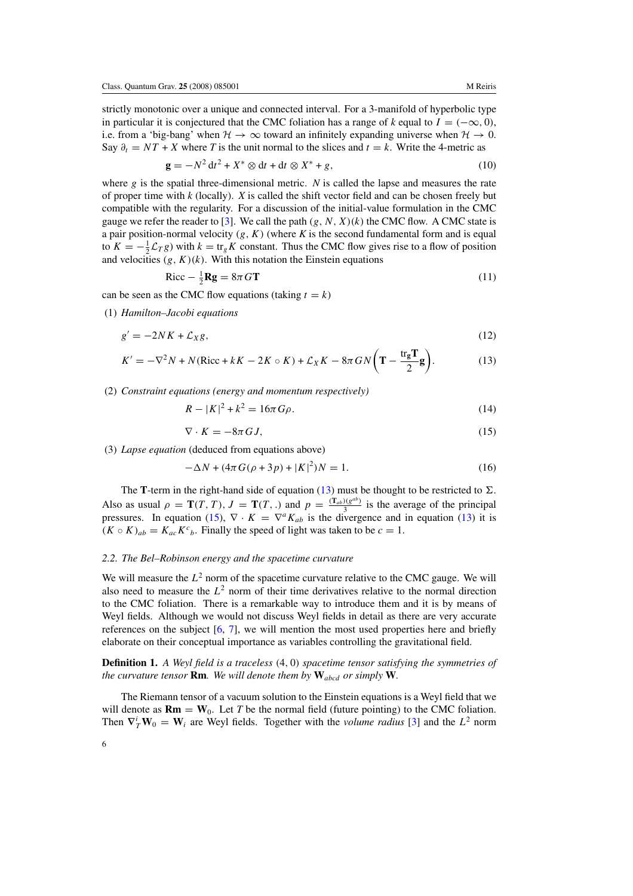<span id="page-6-0"></span>strictly monotonic over a unique and connected interval. For a 3-manifold of hyperbolic type in particular it is conjectured that the CMC foliation has a range of *k* equal to  $I = (-\infty, 0)$ , i.e. from a 'big-bang' when  $H \to \infty$  toward an infinitely expanding universe when  $H \to 0$ . Say  $\partial_t = NT + X$  where *T* is the unit normal to the slices and  $t = k$ . Write the 4-metric as

$$
\mathbf{g} = -N^2 dt^2 + X^* \otimes dt + dt \otimes X^* + g,\tag{10}
$$

where  $g$  is the spatial three-dimensional metric.  $N$  is called the lapse and measures the rate of proper time with *k* (locally). *X* is called the shift vector field and can be chosen freely but compatible with the regularity. For a discussion of the initial-value formulation in the CMC gauge we refer the reader to [\[3](#page-26-0)]. We call the path  $(g, N, X)(k)$  the CMC flow. A CMC state is a pair position-normal velocity *(g, K)* (where *K* is the second fundamental form and is equal to  $K = -\frac{1}{2}\mathcal{L}_T g$ ) with  $k = \text{tr}_g K$  constant. Thus the CMC flow gives rise to a flow of position and velocities  $(g, K)(k)$ . With this notation the Einstein equations

$$
Ricc - \frac{1}{2}\mathbf{Rg} = 8\pi GT \tag{11}
$$

can be seen as the CMC flow equations (taking  $t = k$ )

(1) *Hamilton–Jacobi equations*

$$
g' = -2NK + \mathcal{L}_X g,\tag{12}
$$

$$
K' = -\nabla^2 N + N(\text{Ricc} + kK - 2K \circ K) + \mathcal{L}_X K - 8\pi G N \left( \mathbf{T} - \frac{\text{tr}_{\mathbf{g}} \mathbf{T}}{2} \mathbf{g} \right).
$$
 (13)

(2) *Constraint equations (energy and momentum respectively)*

$$
R - |K|^2 + k^2 = 16\pi G\rho.
$$
 (14)

$$
\nabla \cdot K = -8\pi GJ,\tag{15}
$$

(3) *Lapse equation* (deduced from equations above)

$$
-\Delta N + (4\pi G(\rho + 3p) + |K|^2)N = 1.
$$
 (16)

The **T**-term in the right-hand side of equation (13) must be thought to be restricted to  $\Sigma$ . Also as usual  $\rho = \mathbf{T}(T, T), J = \mathbf{T}(T, .)$  and  $p = \frac{(\mathbf{T}_{ab})(g^{ab})}{3}$  is the average of the principal pressures. In equation (15),  $\nabla \cdot K = \nabla^a K_{ab}$  is the divergence and in equation (13) it is  $(K \circ K)_{ab} = K_{ac} K^c{}_b$ . Finally the speed of light was taken to be  $c = 1$ .

#### *2.2. The Bel–Robinson energy and the spacetime curvature*

We will measure the  $L^2$  norm of the spacetime curvature relative to the CMC gauge. We will also need to measure the  $L^2$  norm of their time derivatives relative to the normal direction to the CMC foliation. There is a remarkable way to introduce them and it is by means of Weyl fields. Although we would not discuss Weyl fields in detail as there are very accurate references on the subject  $[6, 7]$  $[6, 7]$  $[6, 7]$ , we will mention the most used properties here and briefly elaborate on their conceptual importance as variables controlling the gravitational field.

**Definition 1.** *A Weyl field is a traceless (*4*,* 0*) spacetime tensor satisfying the symmetries of the curvature tensor* **Rm***. We will denote them by* **W***abcd or simply* **W***.*

The Riemann tensor of a vacuum solution to the Einstein equations is a Weyl field that we will denote as  $\mathbf{Rm} = \mathbf{W}_0$ . Let *T* be the normal field (future pointing) to the CMC foliation. Then  $\nabla^i_T \mathbf{W}_0 = \mathbf{W}_i$  are Weyl fields. Together with the *volume radius* [\[3\]](#page-26-0) and the  $L^2$  norm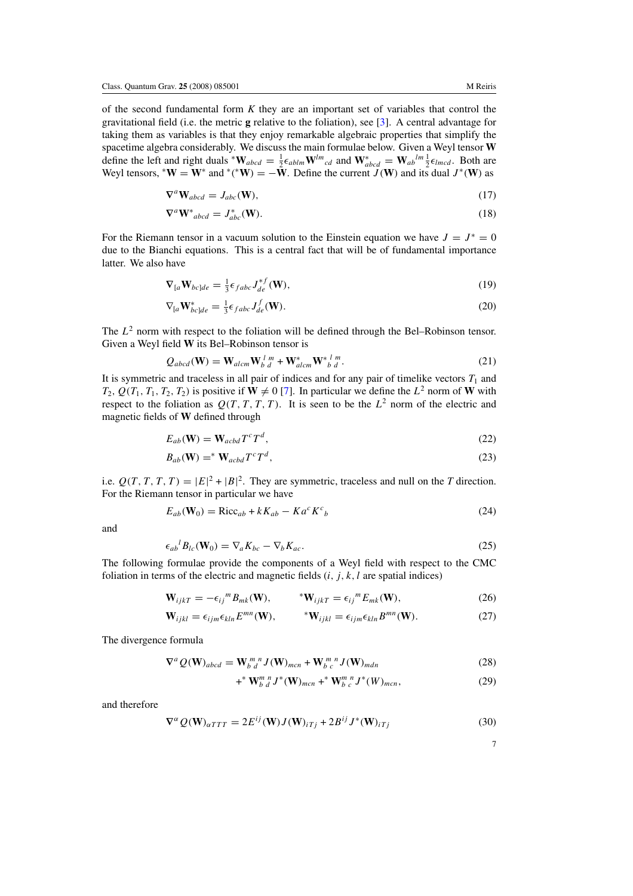of the second fundamental form *K* they are an important set of variables that control the gravitational field (i.e. the metric **g** relative to the foliation), see [\[3](#page-26-0)]. A central advantage for taking them as variables is that they enjoy remarkable algebraic properties that simplify the spacetime algebra considerably. We discuss the main formulae below. Given a Weyl tensor **W** define the left and right duals \* $W_{abcd} = \frac{1}{2} \epsilon_{ablm} W^{lm}_{cd}$  and  $W^*_{abcd} = W_{ab}{}^{lm} \frac{1}{2} \epsilon_{lmcd}$ . Both are Weyl tensors,  $^*W = W^*$  and  $^*(^*W) = -\tilde{W}$ . Define the current  $\tilde{J}(W)$  and its dual  $J^*(W)$  as

$$
\nabla^a \mathbf{W}_{abcd} = J_{abc}(\mathbf{W}),\tag{17}
$$

$$
\nabla^a \mathbf{W}^*_{abcd} = J^*_{abc}(\mathbf{W}).\tag{18}
$$

For the Riemann tensor in a vacuum solution to the Einstein equation we have  $J = J^* = 0$ due to the Bianchi equations. This is a central fact that will be of fundamental importance latter. We also have

$$
\nabla_{[a}\mathbf{W}_{bc}]_{de} = \frac{1}{3}\epsilon_{fabc}J_{de}^{*f}(\mathbf{W}),\tag{19}
$$

$$
\nabla_{[a}\mathbf{W}_{bc}]_{de} = \frac{1}{3}\epsilon_{fabc}J_{de}^f(\mathbf{W}).\tag{20}
$$

The  $L^2$  norm with respect to the foliation will be defined through the Bel–Robinson tensor. Given a Weyl field **W** its Bel–Robinson tensor is

$$
Q_{abcd}(\mathbf{W}) = \mathbf{W}_{alcm} \mathbf{W}_{b\ d}^{l\ m} + \mathbf{W}_{alcm}^* \mathbf{W}_{b\ d}^{*l\ m}.
$$
 (21)

It is symmetric and traceless in all pair of indices and for any pair of timelike vectors  $T_1$  and  $T_2, Q(T_1, T_1, T_2, T_2)$  is positive if  $W \neq 0$  [\[7\]](#page-26-0). In particular we define the  $L^2$  norm of **W** with respect to the foliation as  $Q(T, T, T, T)$ . It is seen to be the  $L^2$  norm of the electric and magnetic fields of **W** defined through

$$
E_{ab}(\mathbf{W}) = \mathbf{W}_{acbd} T^c T^d,\tag{22}
$$

$$
B_{ab}(\mathbf{W}) =^* \mathbf{W}_{acbd} T^c T^d, \tag{23}
$$

i.e.  $Q(T, T, T, T) = |E|^2 + |B|^2$ . They are symmetric, traceless and null on the *T* direction. For the Riemann tensor in particular we have

$$
E_{ab}(\mathbf{W}_0) = \text{Ricc}_{ab} + kK_{ab} - Ka^cK^c{}_b \tag{24}
$$

and

$$
\epsilon_{ab}{}^l B_{lc}(\mathbf{W}_0) = \nabla_a K_{bc} - \nabla_b K_{ac}.
$$
\n(25)

The following formulae provide the components of a Weyl field with respect to the CMC foliation in terms of the electric and magnetic fields (*i, j, k, l* are spatial indices)

$$
\mathbf{W}_{ijkT} = -\epsilon_{ij}{}^{m}B_{mk}(\mathbf{W}), \qquad \mathbf{W}_{ijkT} = \epsilon_{ij}{}^{m}E_{mk}(\mathbf{W}), \qquad (26)
$$

$$
\mathbf{W}_{ijkl} = \epsilon_{ijm} \epsilon_{kln} E^{mn}(\mathbf{W}), \qquad \mathbf{W}_{ijkl} = \epsilon_{ijm} \epsilon_{kln} B^{mn}(\mathbf{W}). \tag{27}
$$

The divergence formula

$$
\nabla^a Q(\mathbf{W})_{abcd} = \mathbf{W}_{b\ d}^{m\ n} J(\mathbf{W})_{mcn} + \mathbf{W}_{b\ c}^{m\ n} J(\mathbf{W})_{mdn}
$$
\n(28)

$$
+^* \mathbf{W}_{b \ d}^{m \ n} J^*(\mathbf{W})_{m \ c n} +^* \mathbf{W}_{b \ c}^{m \ n} J^*(W)_{m \ c n}, \tag{29}
$$

and therefore

$$
\nabla^{\alpha} Q(\mathbf{W})_{\alpha TTT} = 2E^{ij}(\mathbf{W})J(\mathbf{W})_{iTj} + 2B^{ij}J^*(\mathbf{W})_{iTj}
$$
(30)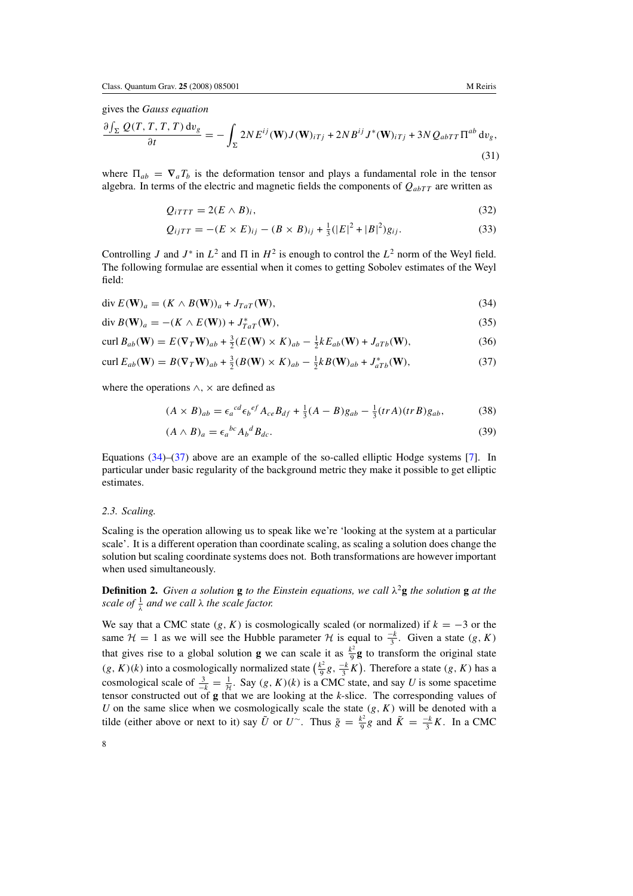gives the *Gauss equation*

$$
\frac{\partial \int_{\Sigma} Q(T, T, T, T) dv_g}{\partial t} = -\int_{\Sigma} 2NE^{ij}(\mathbf{W})J(\mathbf{W})_{iTj} + 2NB^{ij}J^*(\mathbf{W})_{iTj} + 3NQ_{abTT}\Pi^{ab} dv_g,
$$
\n(31)

where  $\Pi_{ab} = \nabla_a T_b$  is the deformation tensor and plays a fundamental role in the tensor algebra. In terms of the electric and magnetic fields the components of  $Q_{abTT}$  are written as

$$
Q_{iTTT} = 2(E \wedge B)_i,\tag{32}
$$

$$
Q_{ijTT} = -(E \times E)_{ij} - (B \times B)_{ij} + \frac{1}{3}(|E|^2 + |B|^2)g_{ij}.
$$
 (33)

Controlling *J* and  $J^*$  in  $L^2$  and  $\Pi$  in  $H^2$  is enough to control the  $L^2$  norm of the Weyl field. The following formulae are essential when it comes to getting Sobolev estimates of the Weyl field:

$$
\operatorname{div} E(\mathbf{W})_a = (K \wedge B(\mathbf{W}))_a + J_{TaT}(\mathbf{W}),\tag{34}
$$

$$
\operatorname{div} B(\mathbf{W})_a = -(K \wedge E(\mathbf{W})) + J_{TaT}^*(\mathbf{W}),\tag{35}
$$

$$
\operatorname{curl} B_{ab}(\mathbf{W}) = E(\nabla_T \mathbf{W})_{ab} + \frac{3}{2} (E(\mathbf{W}) \times K)_{ab} - \frac{1}{2} k E_{ab}(\mathbf{W}) + J_{aTb}(\mathbf{W}), \tag{36}
$$

$$
\operatorname{curl} E_{ab}(\mathbf{W}) = B(\nabla_T \mathbf{W})_{ab} + \frac{3}{2} (B(\mathbf{W}) \times K)_{ab} - \frac{1}{2} k B(\mathbf{W})_{ab} + J^*_{aTb}(\mathbf{W}), \tag{37}
$$

where the operations ∧*,* × are defined as

$$
(A \times B)_{ab} = \epsilon_a^{cd} \epsilon_b^{ef} A_{ce} B_{df} + \frac{1}{3} (A - B) g_{ab} - \frac{1}{3} (tr A)(tr B) g_{ab},
$$
(38)

$$
(A \wedge B)_a = \epsilon_a{}^{bc} A_b{}^d B_{dc}.\tag{39}
$$

Equations (34)–(37) above are an example of the so-called elliptic Hodge systems [\[7\]](#page-26-0). In particular under basic regularity of the background metric they make it possible to get elliptic estimates.

## *2.3. Scaling.*

Scaling is the operation allowing us to speak like we're 'looking at the system at a particular scale'. It is a different operation than coordinate scaling, as scaling a solution does change the solution but scaling coordinate systems does not. Both transformations are however important when used simultaneously.

**Definition 2.** *Given a solution* **g** *to the Einstein equations, we call*  $\lambda^2$ **g** *the solution* **g** *at the scale of*  $\frac{1}{\lambda}$  *and we call*  $\lambda$  *the scale factor.* 

We say that a CMC state  $(g, K)$  is cosmologically scaled (or normalized) if  $k = -3$  or the same  $H = 1$  as we will see the Hubble parameter H is equal to  $\frac{-k}{3}$ . Given a state  $(g, K)$ that gives rise to a global solution **g** we can scale it as  $\frac{k^2}{9}$ **g** to transform the original state  $(g, K)(k)$  into a cosmologically normalized state  $\left(\frac{k^2}{9}g, \frac{-k}{3}K\right)$ . Therefore a state  $(g, K)$  has a cosmological scale of  $\frac{3}{-k} = \frac{1}{\mathcal{H}}$ . Say  $(g, K)(k)$  is a CMC state, and say *U* is some spacetime tensor constructed out of **g** that we are looking at the *k*-slice. The corresponding values of *U* on the same slice when we cosmologically scale the state *(g, K)* will be denoted with a tilde (either above or next to it) say  $\tilde{U}$  or  $U^{\sim}$ . Thus  $\tilde{g} = \frac{k^2}{9}g$  and  $\tilde{K} = \frac{-k}{3}K$ . In a CMC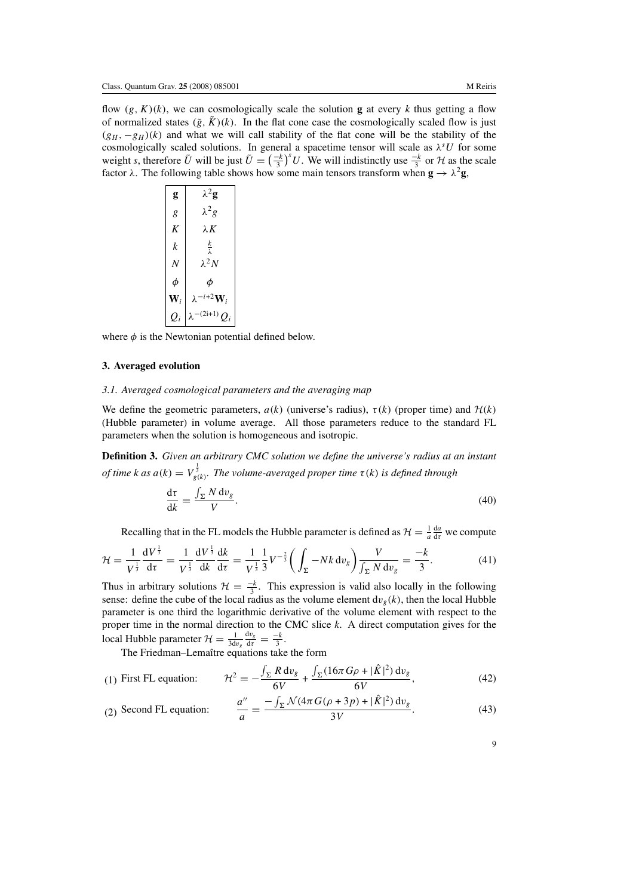<span id="page-9-0"></span>flow  $(g, K)(k)$ , we can cosmologically scale the solution **g** at every *k* thus getting a flow of normalized states  $(\tilde{g}, \tilde{K})(k)$ . In the flat cone case the cosmologically scaled flow is just  $(g_H, -g_H)(k)$  and what we will call stability of the flat cone will be the stability of the cosmologically scaled solutions. In general a spacetime tensor will scale as  $\lambda^s U$  for some weight *s*, therefore  $\tilde{U}$  will be just  $\tilde{U} = \left(\frac{-k}{3}\right)^s U$ . We will indistinctly use  $\frac{-k}{3}$  or  $\mathcal H$  as the scale factor  $\lambda$ . The following table shows how some main tensors transform when  $\mathbf{g} \to \lambda^2 \mathbf{g}$ ,

| g              | $\lambda^2$ g                   |
|----------------|---------------------------------|
| g              | $\lambda^2 g$                   |
| K              | $\lambda$ . $K$                 |
| k              | $rac{k}{\lambda}$               |
| N              | $\lambda^2 N$                   |
| $\phi$         | φ                               |
| $\mathbf{W}_i$ | $\lambda^{-i+2}\mathbf{W}_i$    |
| $Q_i$          | $\lambda^{-(2\mathbf{i}+1)}Q_i$ |

where  $\phi$  is the Newtonian potential defined below.

## **3. Averaged evolution**

### *3.1. Averaged cosmological parameters and the averaging map*

We define the geometric parameters,  $a(k)$  (universe's radius),  $\tau(k)$  (proper time) and  $\mathcal{H}(k)$ (Hubble parameter) in volume average. All those parameters reduce to the standard FL parameters when the solution is homogeneous and isotropic.

**Definition 3.** *Given an arbitrary CMC solution we define the universe's radius at an instant of time k as*  $a(k) = V_{g(k)}^{\frac{1}{3}}$ *. The volume-averaged proper time*  $\tau(k)$  *is defined through* 

$$
\frac{\mathrm{d}\tau}{\mathrm{d}k} = \frac{\int_{\Sigma} N \,\mathrm{d}v_g}{V}.\tag{40}
$$

Recalling that in the FL models the Hubble parameter is defined as  $\mathcal{H} = \frac{1}{a} \frac{da}{dt}$  we compute

$$
\mathcal{H} = \frac{1}{V^{\frac{1}{3}}} \frac{dV^{\frac{1}{3}}}{d\tau} = \frac{1}{V^{\frac{1}{3}}} \frac{dV^{\frac{1}{3}}}{dk} \frac{dk}{d\tau} = \frac{1}{V^{\frac{1}{3}}} \frac{1}{3} V^{-\frac{2}{3}} \bigg( \int_{\Sigma} -Nk \, dv_g \bigg) \frac{V}{\int_{\Sigma} N \, dv_g} = \frac{-k}{3}.
$$
 (41)

Thus in arbitrary solutions  $\mathcal{H} = \frac{-k}{3}$ . This expression is valid also locally in the following sense: define the cube of the local radius as the volume element  $dv_g(k)$ , then the local Hubble parameter is one third the logarithmic derivative of the volume element with respect to the proper time in the normal direction to the CMC slice *k*. A direct computation gives for the local Hubble parameter  $\mathcal{H} = \frac{1}{3 \text{d} v_g}$  $\frac{dv_g}{d\tau} = \frac{-k}{3}.$ 

The Friedman–Lemaître equations take the form

(1) First FL equation: 
$$
\mathcal{H}^2 = -\frac{\int_{\Sigma} R \, dv_g}{6V} + \frac{\int_{\Sigma} (16\pi G \rho + |\hat{K}|^2) \, dv_g}{6V},
$$
(42)

(2) Second FL equation: 
$$
\frac{a''}{a} = \frac{-\int_{\Sigma} \mathcal{N}(4\pi G(\rho + 3p) + |\hat{K}|^2) dv_g}{3V}.
$$
 (43)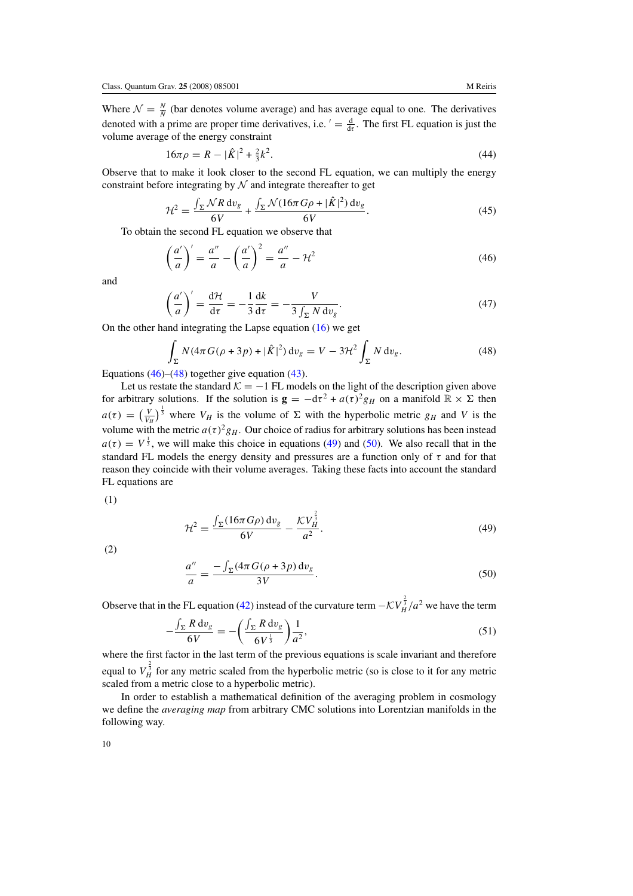<span id="page-10-0"></span>Where  $\mathcal{N} = \frac{N}{N}$  (bar denotes volume average) and has average equal to one. The derivatives denoted with a prime are proper time derivatives, i.e.  $' = \frac{d}{dt}$ . The first FL equation is just the volume average of the energy constraint

$$
16\pi\rho = R - |\hat{K}|^2 + \frac{2}{3}k^2.
$$
\n(44)

Observe that to make it look closer to the second FL equation, we can multiply the energy constraint before integrating by  $N$  and integrate thereafter to get

$$
\mathcal{H}^2 = \frac{\int_{\Sigma} \mathcal{N} R \, \mathrm{d}v_g}{6V} + \frac{\int_{\Sigma} \mathcal{N} (16\pi \, G\rho + |\hat{K}|^2) \, \mathrm{d}v_g}{6V}.
$$
\n
$$
(45)
$$

To obtain the second FL equation we observe that

$$
\left(\frac{a'}{a}\right)' = \frac{a''}{a} - \left(\frac{a'}{a}\right)^2 = \frac{a''}{a} - \mathcal{H}^2
$$
\n(46)

and

$$
\left(\frac{a'}{a}\right)' = \frac{d\mathcal{H}}{d\tau} = -\frac{1}{3}\frac{dk}{d\tau} = -\frac{V}{3\int_{\Sigma} N \, dv_g}.\tag{47}
$$

On the other hand integrating the Lapse equation [\(16\)](#page-6-0) we get

$$
\int_{\Sigma} N(4\pi G(\rho + 3p) + |\hat{K}|^2) dv_g = V - 3\mathcal{H}^2 \int_{\Sigma} N dv_g. \tag{48}
$$

Equations (46)–(48) together give equation [\(43\)](#page-9-0).

Let us restate the standard  $K = -1$  FL models on the light of the description given above for arbitrary solutions. If the solution is  $\mathbf{g} = -d\tau^2 + a(\tau)^2 g_H$  on a manifold  $\mathbb{R} \times \Sigma$  then  $a(\tau) = \left(\frac{V}{V_H}\right)^{\frac{1}{3}}$  where  $V_H$  is the volume of  $\Sigma$  with the hyperbolic metric  $g_H$  and *V* is the volume with the metric  $a(\tau)^2 g_H$ . Our choice of radius for arbitrary solutions has been instead  $a(\tau) = V^{\frac{1}{3}}$ , we will make this choice in equations (49) and (50). We also recall that in the standard FL models the energy density and pressures are a function only of *τ* and for that reason they coincide with their volume averages. Taking these facts into account the standard FL equations are

(1)

$$
\mathcal{H}^{2} = \frac{\int_{\Sigma} (16\pi G\rho) dv_{g}}{6V} - \frac{\mathcal{K}V_{H}^{\frac{2}{3}}}{a^{2}}.
$$
\n(49)

(2)

$$
\frac{a''}{a} = \frac{-\int_{\Sigma} (4\pi G(\rho + 3p)) dv_g}{3V}.
$$
\n
$$
(50)
$$

Observe that in the FL equation [\(42\)](#page-9-0) instead of the curvature term  $-\frac{\mathcal{K}V_H^{\frac{2}{3}}}{a^2}$  we have the term

$$
-\frac{\int_{\Sigma} R \, \mathrm{d}v_g}{6V} = -\left(\frac{\int_{\Sigma} R \, \mathrm{d}v_g}{6V^{\frac{1}{3}}}\right) \frac{1}{a^2},\tag{51}
$$

where the first factor in the last term of the previous equations is scale invariant and therefore equal to  $V_H^{\frac{2}{3}}$  for any metric scaled from the hyperbolic metric (so is close to it for any metric scaled from a metric close to a hyperbolic metric).

In order to establish a mathematical definition of the averaging problem in cosmology we define the *averaging map* from arbitrary CMC solutions into Lorentzian manifolds in the following way.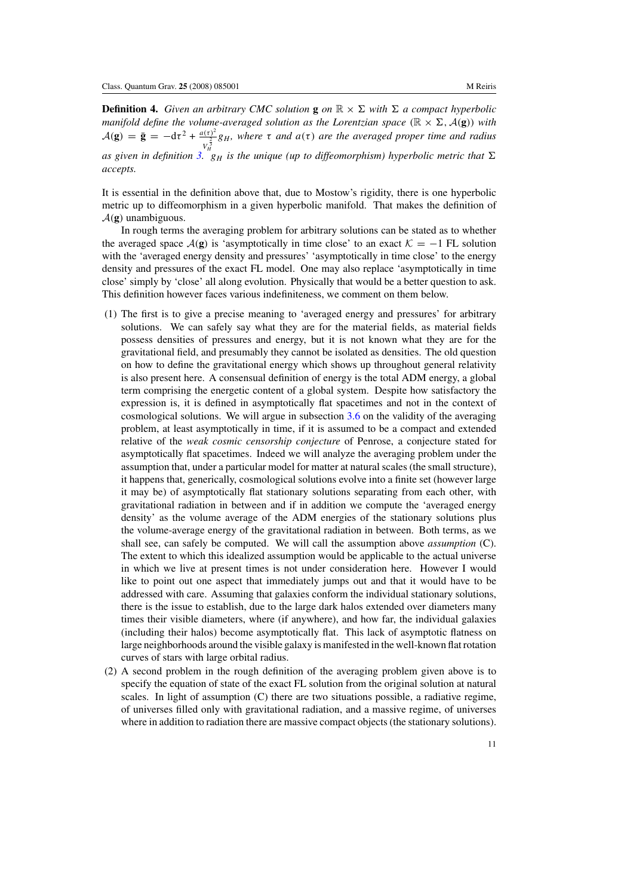**Definition 4.** *Given an arbitrary CMC solution* **g** *on*  $\mathbb{R} \times \Sigma$  *with*  $\Sigma$  *a compact hyperbolic manifold define the volume-averaged solution as the Lorentzian space*  $(\mathbb{R} \times \Sigma, \mathcal{A}(\mathbf{g}))$  *with*  $A(\mathbf{g}) = \bar{\mathbf{g}} = -d\tau^2 + \frac{a(\tau)^2}{v_H^{\frac{2}{3}}} g_H$ , where  $\tau$  and  $a(\tau)$  are the averaged proper time and radius as given in definition [3.](#page-9-0)  $\binom{y_H}{g_H}$  is the unique (up to diffeomorphism) hyperbolic metric that  $\Sigma$ *accepts.*

It is essential in the definition above that, due to Mostow's rigidity, there is one hyperbolic metric up to diffeomorphism in a given hyperbolic manifold. That makes the definition of  $A$ (g) unambiguous.

In rough terms the averaging problem for arbitrary solutions can be stated as to whether the averaged space  $A(\mathbf{g})$  is 'asymptotically in time close' to an exact  $K = -1$  FL solution with the 'averaged energy density and pressures' 'asymptotically in time close' to the energy density and pressures of the exact FL model. One may also replace 'asymptotically in time close' simply by 'close' all along evolution. Physically that would be a better question to ask. This definition however faces various indefiniteness, we comment on them below.

- (1) The first is to give a precise meaning to 'averaged energy and pressures' for arbitrary solutions. We can safely say what they are for the material fields, as material fields possess densities of pressures and energy, but it is not known what they are for the gravitational field, and presumably they cannot be isolated as densities. The old question on how to define the gravitational energy which shows up throughout general relativity is also present here. A consensual definition of energy is the total ADM energy, a global term comprising the energetic content of a global system. Despite how satisfactory the expression is, it is defined in asymptotically flat spacetimes and not in the context of cosmological solutions. We will argue in subsection [3.6](#page-17-0) on the validity of the averaging problem, at least asymptotically in time, if it is assumed to be a compact and extended relative of the *weak cosmic censorship conjecture* of Penrose, a conjecture stated for asymptotically flat spacetimes. Indeed we will analyze the averaging problem under the assumption that, under a particular model for matter at natural scales (the small structure), it happens that, generically, cosmological solutions evolve into a finite set (however large it may be) of asymptotically flat stationary solutions separating from each other, with gravitational radiation in between and if in addition we compute the 'averaged energy density' as the volume average of the ADM energies of the stationary solutions plus the volume-average energy of the gravitational radiation in between. Both terms, as we shall see, can safely be computed. We will call the assumption above *assumption* (C). The extent to which this idealized assumption would be applicable to the actual universe in which we live at present times is not under consideration here. However I would like to point out one aspect that immediately jumps out and that it would have to be addressed with care. Assuming that galaxies conform the individual stationary solutions, there is the issue to establish, due to the large dark halos extended over diameters many times their visible diameters, where (if anywhere), and how far, the individual galaxies (including their halos) become asymptotically flat. This lack of asymptotic flatness on large neighborhoods around the visible galaxy is manifested in the well-known flat rotation curves of stars with large orbital radius.
- (2) A second problem in the rough definition of the averaging problem given above is to specify the equation of state of the exact FL solution from the original solution at natural scales. In light of assumption (C) there are two situations possible, a radiative regime, of universes filled only with gravitational radiation, and a massive regime, of universes where in addition to radiation there are massive compact objects (the stationary solutions).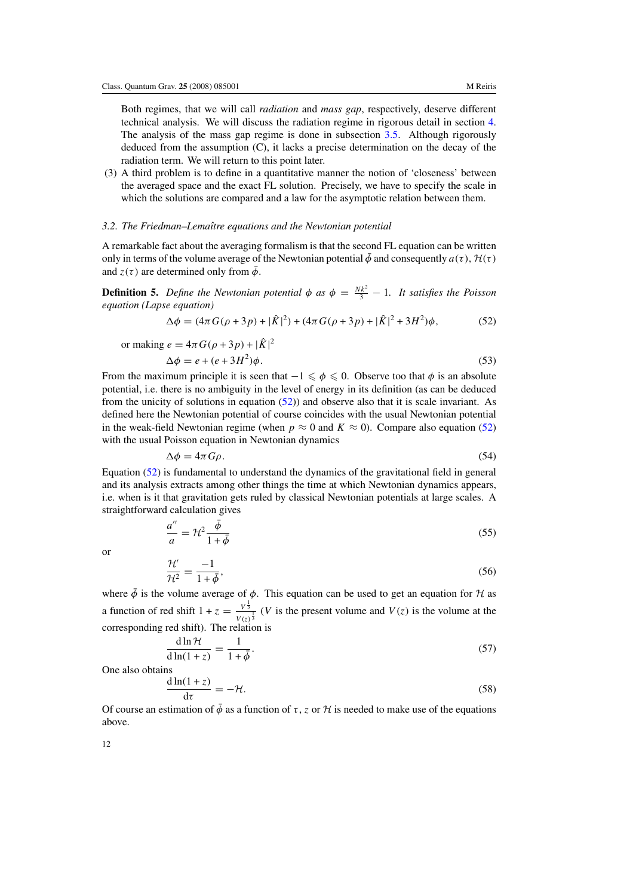<span id="page-12-0"></span>Both regimes, that we will call *radiation* and *mass gap*, respectively, deserve different technical analysis. We will discuss the radiation regime in rigorous detail in section [4.](#page-18-0) The analysis of the mass gap regime is done in subsection [3.5.](#page-15-0) Although rigorously deduced from the assumption (C), it lacks a precise determination on the decay of the radiation term. We will return to this point later.

(3) A third problem is to define in a quantitative manner the notion of 'closeness' between the averaged space and the exact FL solution. Precisely, we have to specify the scale in which the solutions are compared and a law for the asymptotic relation between them.

## *3.2. The Friedman–Lemaˆıtre equations and the Newtonian potential*

A remarkable fact about the averaging formalism is that the second FL equation can be written only in terms of the volume average of the Newtonian potential  $\phi$  and consequently  $a(\tau)$ ,  $\mathcal{H}(\tau)$ and  $z(\tau)$  are determined only from  $\bar{\phi}$ .

**Definition 5.** *Define the Newtonian potential*  $\phi$  *as*  $\phi = \frac{Nk^2}{3} - 1$ *. It satisfies the Poisson equation (Lapse equation)*

$$
\Delta \phi = (4\pi G(\rho + 3p) + |\hat{K}|^2) + (4\pi G(\rho + 3p) + |\hat{K}|^2 + 3H^2)\phi,
$$
 (52)

or making 
$$
e = 4\pi G(\rho + 3p) + |\hat{K}|^2
$$
  
\n
$$
\Delta \phi = e + (e + 3H^2)\phi.
$$
\n(53)

From the maximum principle it is seen that  $-1 \leq \phi \leq 0$ . Observe too that  $\phi$  is an absolute potential, i.e. there is no ambiguity in the level of energy in its definition (as can be deduced from the unicity of solutions in equation  $(52)$ ) and observe also that it is scale invariant. As defined here the Newtonian potential of course coincides with the usual Newtonian potential in the weak-field Newtonian regime (when  $p \approx 0$  and  $K \approx 0$ ). Compare also equation (52) with the usual Poisson equation in Newtonian dynamics

$$
\Delta \phi = 4\pi G \rho. \tag{54}
$$

Equation (52) is fundamental to understand the dynamics of the gravitational field in general and its analysis extracts among other things the time at which Newtonian dynamics appears, i.e. when is it that gravitation gets ruled by classical Newtonian potentials at large scales. A straightforward calculation gives

$$
\frac{a''}{a} = \mathcal{H}^2 \frac{\bar{\phi}}{1 + \bar{\phi}}
$$
\n(55)

or

$$
\frac{\mathcal{H}'}{\mathcal{H}^2} = \frac{-1}{1+\bar{\phi}},\tag{56}
$$

where  $\bar{\phi}$  is the volume average of  $\phi$ . This equation can be used to get an equation for H as a function of red shift  $1 + z = \frac{V^{\frac{1}{3}}}{V(z)^{\frac{1}{3}}}$  (*V* is the present volume and *V*(*z*) is the volume at the corresponding red shift). The relation is

$$
\frac{\mathrm{d}\ln\mathcal{H}}{\mathrm{d}\ln(1+z)} = \frac{1}{1+\bar{\phi}}.\tag{57}
$$

One also obtains

$$
\frac{d \ln(1+z)}{d \tau} = -\mathcal{H}.\tag{58}
$$

Of course an estimation of  $\bar{\phi}$  as a function of  $\tau$ , *z* or H is needed to make use of the equations above.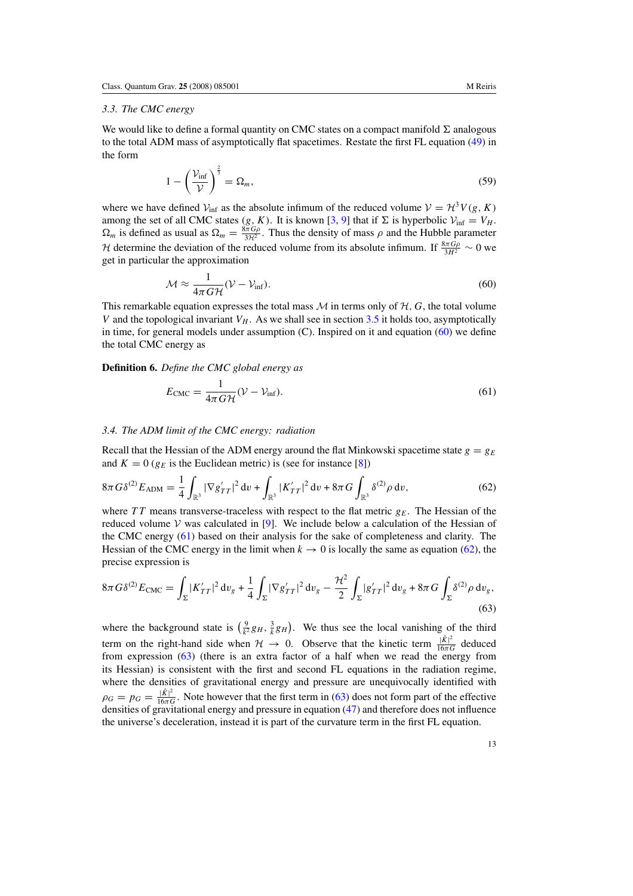## <span id="page-13-0"></span>*3.3. The CMC energy*

We would like to define a formal quantity on CMC states on a compact manifold  $\Sigma$  analogous to the total ADM mass of asymptotically flat spacetimes. Restate the first FL equation [\(49\)](#page-10-0) in the form

$$
1 - \left(\frac{\mathcal{V}_{\text{inf}}}{\mathcal{V}}\right)^{\frac{2}{3}} = \Omega_m,\tag{59}
$$

where we have defined  $V_{\text{inf}}$  as the absolute infimum of the reduced volume  $V = H^3 V(g, K)$ among the set of all CMC states  $(g, K)$ . It is known [\[3,](#page-26-0) [9\]](#page-26-0) that if  $\Sigma$  is hyperbolic  $V_{\text{inf}} = V_H$ .  $\Omega_m$  is defined as usual as  $\Omega_m = \frac{8\pi G\rho}{3H^2}$ . Thus the density of mass  $\rho$  and the Hubble parameter *H* determine the deviation of the reduced volume from its absolute infimum. If  $\frac{8\pi G\rho}{3H^2} \sim 0$  we get in particular the approximation

$$
\mathcal{M} \approx \frac{1}{4\pi G \mathcal{H}} (\mathcal{V} - \mathcal{V}_{\text{inf}}). \tag{60}
$$

This remarkable equation expresses the total mass  $M$  in terms only of  $H$ ,  $G$ , the total volume *V* and the topological invariant  $V_H$ . As we shall see in section [3.5](#page-15-0) it holds too, asymptotically in time, for general models under assumption (C). Inspired on it and equation (60) we define the total CMC energy as

**Definition 6.** *Define the CMC global energy as*

$$
E_{\rm CMC} = \frac{1}{4\pi G \mathcal{H}} (\mathcal{V} - \mathcal{V}_{\rm inf}).
$$
\n(61)

#### *3.4. The ADM limit of the CMC energy: radiation*

Recall that the Hessian of the ADM energy around the flat Minkowski spacetime state  $g = g_E$ and  $K = 0$  ( $g_E$  is the Euclidean metric) is (see for instance [\[8\]](#page-26-0))

$$
8\pi G\delta^{(2)} E_{\text{ADM}} = \frac{1}{4} \int_{\mathbb{R}^3} |\nabla g'_{TT}|^2 \, \mathrm{d}v + \int_{\mathbb{R}^3} |K'_{TT}|^2 \, \mathrm{d}v + 8\pi G \int_{\mathbb{R}^3} \delta^{(2)} \rho \, \mathrm{d}v, \tag{62}
$$

where  $TT$  means transverse-traceless with respect to the flat metric  $g_E$ . The Hessian of the reduced volume V was calculated in [\[9\]](#page-26-0). We include below a calculation of the Hessian of the CMC energy (61) based on their analysis for the sake of completeness and clarity. The Hessian of the CMC energy in the limit when  $k \to 0$  is locally the same as equation (62), the precise expression is

$$
8\pi G\delta^{(2)}E_{\text{CMC}} = \int_{\Sigma} |K'_{TT}|^2 dv_g + \frac{1}{4} \int_{\Sigma} |\nabla g'_{TT}|^2 dv_g - \frac{\mathcal{H}^2}{2} \int_{\Sigma} |g'_{TT}|^2 dv_g + 8\pi G \int_{\Sigma} \delta^{(2)} \rho dv_g, \tag{63}
$$

where the background state is  $(\frac{9}{k^2}g_H, \frac{3}{k}g_H)$ . We thus see the local vanishing of the third term on the right-hand side when  $H \to 0$ . Observe that the kinetic term  $\frac{|\hat{K}|^2}{16\pi G}$  deduced from expression  $(63)$  (there is an extra factor of a half when we read the energy from its Hessian) is consistent with the first and second FL equations in the radiation regime, where the densities of gravitational energy and pressure are unequivocally identified with  $\rho_G = p_G = \frac{|\hat{K}|^2}{16\pi G}$ . Note however that the first term in (63) does not form part of the effective densities of gravitational energy and pressure in equation [\(47\)](#page-10-0) and therefore does not influence the universe's deceleration, instead it is part of the curvature term in the first FL equation.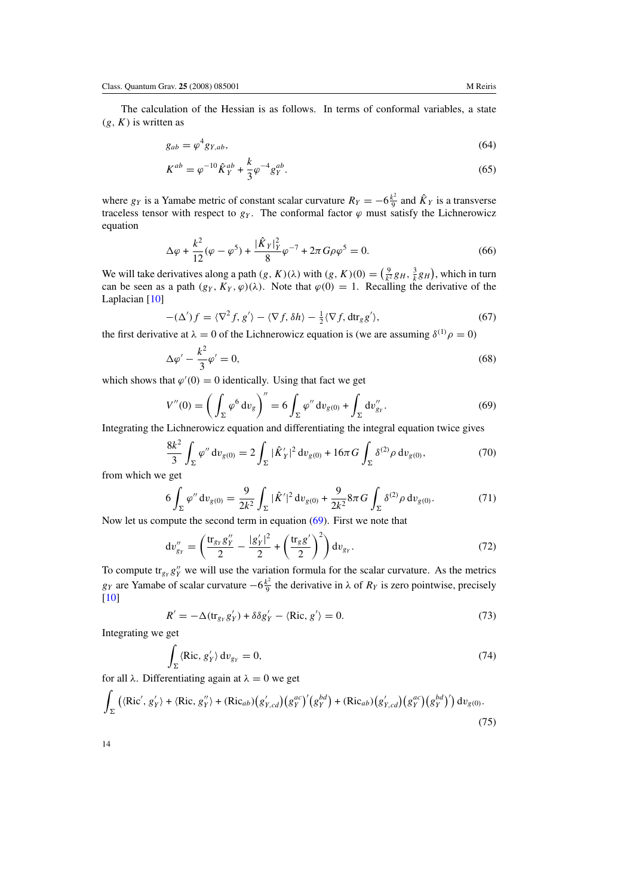<span id="page-14-0"></span>The calculation of the Hessian is as follows. In terms of conformal variables, a state *(g, K)* is written as

$$
g_{ab} = \varphi^4 g_{Y,ab},\tag{64}
$$

$$
K^{ab} = \varphi^{-10} \hat{K}_Y^{ab} + \frac{k}{3} \varphi^{-4} g_Y^{ab}.
$$
 (65)

where  $g_Y$  is a Yamabe metric of constant scalar curvature  $R_Y = -6\frac{k^2}{9}$  and  $\hat{K}_Y$  is a transverse traceless tensor with respect to  $g_Y$ . The conformal factor  $\varphi$  must satisfy the Lichnerowicz equation

$$
\Delta \varphi + \frac{k^2}{12} (\varphi - \varphi^5) + \frac{|\hat{K}_Y|_Y^2}{8} \varphi^{-7} + 2\pi G \rho \varphi^5 = 0.
$$
 (66)

We will take derivatives along a path  $(g, K)(\lambda)$  with  $(g, K)(0) = \left(\frac{9}{k^2} g_H, \frac{3}{k} g_H\right)$ , which in turn can be seen as a path  $(g_Y, K_Y, \varphi)(\lambda)$ . Note that  $\varphi(0) = 1$ . Recalling the derivative of the Laplacian [\[10\]](#page-26-0)

$$
-(\Delta')f = \langle \nabla^2 f, g' \rangle - \langle \nabla f, \delta h \rangle - \frac{1}{2} \langle \nabla f, \text{d} \text{tr}_g g' \rangle, \tag{67}
$$

the first derivative at  $\lambda = 0$  of the Lichnerowicz equation is (we are assuming  $\delta^{(1)} \rho = 0$ )

$$
\Delta \varphi' - \frac{k^2}{3} \varphi' = 0,\tag{68}
$$

which shows that  $\varphi'(0) = 0$  identically. Using that fact we get

$$
V''(0) = \left(\int_{\Sigma} \varphi^6 \, \mathrm{d}v_g\right)'' = 6 \int_{\Sigma} \varphi'' \, \mathrm{d}v_{g(0)} + \int_{\Sigma} \mathrm{d}v''_{g}.
$$
 (69)

Integrating the Lichnerowicz equation and differentiating the integral equation twice gives

$$
\frac{8k^2}{3}\int_{\Sigma}\varphi''\,dv_{g(0)} = 2\int_{\Sigma}|\hat{K}'_Y|^2\,dv_{g(0)} + 16\pi G\int_{\Sigma}\delta^{(2)}\rho\,dv_{g(0)},\tag{70}
$$

from which we get

$$
6\int_{\Sigma} \varphi'' dv_{g(0)} = \frac{9}{2k^2} \int_{\Sigma} |\hat{K}'|^2 dv_{g(0)} + \frac{9}{2k^2} 8\pi G \int_{\Sigma} \delta^{(2)} \rho dv_{g(0)}.
$$
 (71)

Now let us compute the second term in equation (69). First we note that

$$
dv''_{g_Y} = \left(\frac{tr_{g_Y}g''_Y}{2} - \frac{|g'_Y|^2}{2} + \left(\frac{tr_g g'}{2}\right)^2\right) dv_{g_Y}.
$$
 (72)

To compute  $tr_{g_y}g_y''$  we will use the variation formula for the scalar curvature. As the metrics *g<sub>Y</sub>* are Yamabe of scalar curvature  $-6\frac{k^2}{9}$  the derivative in  $\lambda$  of  $R_Y$  is zero pointwise, precisely [\[10](#page-26-0)]

$$
R' = -\Delta(\text{tr}_{g_Y}g'_Y) + \delta \delta g'_Y - \langle \text{Ric}, g' \rangle = 0. \tag{73}
$$

Integrating we get

$$
\int_{\Sigma} \langle \text{Ric}, g'_{Y} \rangle dv_{g_{Y}} = 0, \tag{74}
$$

for all  $λ$ . Differentiating again at  $λ = 0$  we get

$$
\int_{\Sigma} \left( \langle \text{Ric}', g'_{Y} \rangle + \langle \text{Ric}, g''_{Y} \rangle + (\text{Ric}_{ab}) \big( g'_{Y,cd} \big) \big( g^{ac}_{Y} \big)' \big( g^{bd}_{Y} \big) + (\text{Ric}_{ab}) \big( g'_{Y,cd} \big) \big( g^{ac}_{Y} \big)' \big( g^{bd}_{Y} \big)' \right) dv_{g(0)}.
$$
\n(75)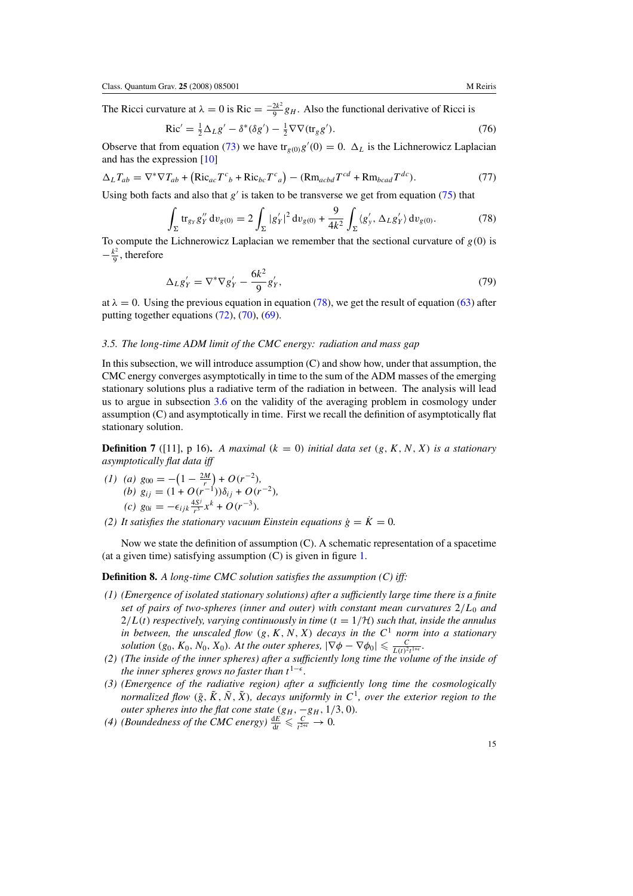<span id="page-15-0"></span>The Ricci curvature at  $\lambda = 0$  is Ric =  $\frac{-2k^2}{9} g_H$ . Also the functional derivative of Ricci is

$$
\operatorname{Ric}' = \frac{1}{2} \Delta_L g' - \delta^* (\delta g') - \frac{1}{2} \nabla \nabla (\operatorname{tr}_g g'). \tag{76}
$$

Observe that from equation [\(73\)](#page-14-0) we have  $tr_{g(0)}g'(0) = 0$ .  $\Delta_L$  is the Lichnerowicz Laplacian and has the expression [\[10](#page-26-0)]

$$
\Delta_L T_{ab} = \nabla^* \nabla T_{ab} + (\text{Ric}_{ac} T^c{}_b + \text{Ric}_{bc} T^c{}_a) - (\text{Rm}_{acbd} T^{cd} + \text{Rm}_{bcad} T^{dc}).\tag{77}
$$

Using both facts and also that  $g'$  is taken to be transverse we get from equation [\(75\)](#page-14-0) that

$$
\int_{\Sigma} \text{tr}_{g_Y} g_Y'' \, \text{d}v_{g(0)} = 2 \int_{\Sigma} |g_Y'|^2 \, \text{d}v_{g(0)} + \frac{9}{4k^2} \int_{\Sigma} \langle g_y', \Delta_L g_Y' \rangle \, \text{d}v_{g(0)}.
$$
 (78)

To compute the Lichnerowicz Laplacian we remember that the sectional curvature of  $g(0)$  is  $-\frac{k^2}{9}$ , therefore

$$
\Delta_L g'_Y = \nabla^* \nabla g'_Y - \frac{6k^2}{9} g'_Y,\tag{79}
$$

at  $\lambda = 0$ . Using the previous equation in equation (78), we get the result of equation [\(63\)](#page-13-0) after putting together equations  $(72)$ ,  $(70)$ ,  $(69)$ .

# *3.5. The long-time ADM limit of the CMC energy: radiation and mass gap*

In this subsection, we will introduce assumption (C) and show how, under that assumption, the CMC energy converges asymptotically in time to the sum of the ADM masses of the emerging stationary solutions plus a radiative term of the radiation in between. The analysis will lead us to argue in subsection [3.6](#page-17-0) on the validity of the averaging problem in cosmology under assumption (C) and asymptotically in time. First we recall the definition of asymptotically flat stationary solution.

**Definition 7** ([11], p 16). *A maximal*  $(k = 0)$  *initial data set*  $(g, K, N, X)$  *is a stationary asymptotically flat data iff*

- $P(T)$  *(a)*  $g_{00} = -(1 \frac{2M}{r}) + O(r^{-2}),$  $(b)$  *g<sub>ij</sub>* =  $(1 + O(r^{-1}))δ_{ij} + O(r^{-2})$ *,*  $(c)$   $g_{0i} = -\epsilon_{ijk} \frac{4S^j}{r^3} x^k + O(r^{-3}).$
- *(2) It satisfies the stationary vacuum Einstein equations*  $\dot{g} = \dot{K} = 0$ .

Now we state the definition of assumption (C). A schematic representation of a spacetime (at a given time) satisfying assumption  $(C)$  is given in figure [1.](#page-16-0)

## **Definition 8.** *A long-time CMC solution satisfies the assumption (C) iff:*

- *(1) (Emergence of isolated stationary solutions) after a sufficiently large time there is a finite set of pairs of two-spheres (inner and outer) with constant mean curvatures* 2*/L*<sup>0</sup> *and*  $2/L(t)$  *respectively, varying continuously in time*  $(t = 1/H)$  *such that, inside the annulus in between, the unscaled flow*  $(g, K, N, X)$  *decays in the*  $C<sup>1</sup>$  *norm into a stationary solution*  $(g_0, K_0, N_0, X_0)$ *. At the outer spheres,*  $|\nabla \phi - \nabla \phi_0| \leq \frac{C}{L(t)^2 t^{1+\epsilon}}$ *.*
- *(2) (The inside of the inner spheres) after a sufficiently long time the volume of the inside of the inner spheres grows no faster than*  $t^{1-\epsilon}$ .
- *(3) (Emergence of the radiative region) after a sufficiently long time the cosmologically normalized flow* ( $\tilde{g}$ ,  $\tilde{K}$ ,  $\tilde{N}$ ,  $\tilde{X}$ ), decays uniformly in  $C<sup>1</sup>$ , over the exterior region to the *outer spheres into the flat cone state*  $(g_H, -g_H, 1/3, 0)$ *.*
- *(4) (Boundedness of the CMC energy)*  $\frac{dE}{dt} \leq \frac{C}{t^{2+\epsilon}} \to 0$ .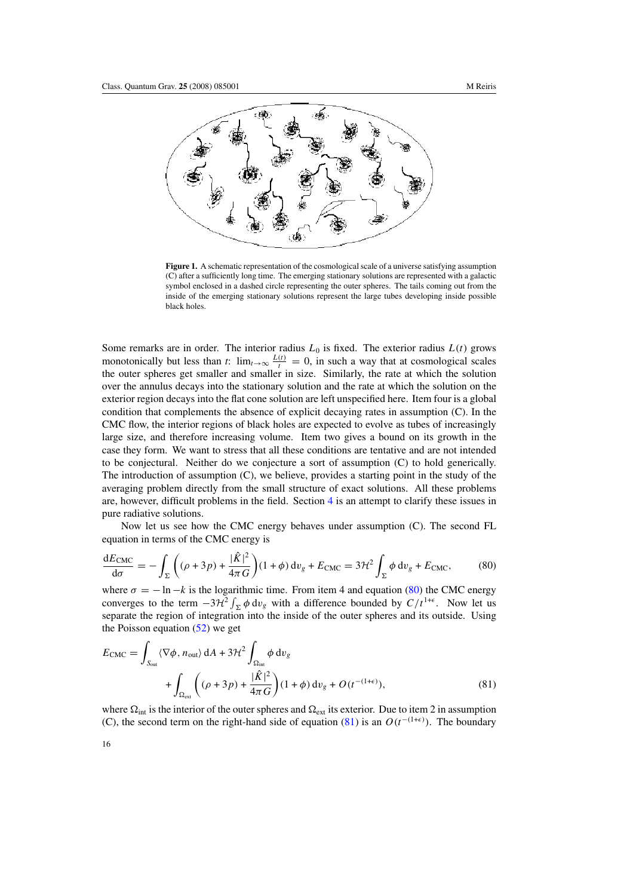

<span id="page-16-0"></span>

**Figure 1.** A schematic representation of the cosmological scale of a universe satisfying assumption (C) after a sufficiently long time. The emerging stationary solutions are represented with a galactic symbol enclosed in a dashed circle representing the outer spheres. The tails coming out from the inside of the emerging stationary solutions represent the large tubes developing inside possible black holes.

Some remarks are in order. The interior radius  $L_0$  is fixed. The exterior radius  $L(t)$  grows monotonically but less than *t*:  $\lim_{t\to\infty} \frac{L(t)}{t} = 0$ , in such a way that at cosmological scales the outer spheres get smaller and smaller in size. Similarly, the rate at which the solution over the annulus decays into the stationary solution and the rate at which the solution on the exterior region decays into the flat cone solution are left unspecified here. Item four is a global condition that complements the absence of explicit decaying rates in assumption (C). In the CMC flow, the interior regions of black holes are expected to evolve as tubes of increasingly large size, and therefore increasing volume. Item two gives a bound on its growth in the case they form. We want to stress that all these conditions are tentative and are not intended to be conjectural. Neither do we conjecture a sort of assumption (C) to hold generically. The introduction of assumption (C), we believe, provides a starting point in the study of the averaging problem directly from the small structure of exact solutions. All these problems are, however, difficult problems in the field. Section  $4$  is an attempt to clarify these issues in pure radiative solutions.

Now let us see how the CMC energy behaves under assumption (C). The second FL equation in terms of the CMC energy is

$$
\frac{\mathrm{d}E_{\rm CMC}}{\mathrm{d}\sigma} = -\int_{\Sigma} \left( (\rho + 3p) + \frac{|\hat{K}|^2}{4\pi G} \right) (1 + \phi) \, \mathrm{d}v_g + E_{\rm CMC} = 3\mathcal{H}^2 \int_{\Sigma} \phi \, \mathrm{d}v_g + E_{\rm CMC},\tag{80}
$$

where  $\sigma = -\ln -k$  is the logarithmic time. From item 4 and equation (80) the CMC energy converges to the term  $-3\mathcal{H}^2 \int_{\Sigma} \phi \, dv_g$  with a difference bounded by  $C/t^{1+\epsilon}$ . Now let us separate the region of integration into the inside of the outer spheres and its outside. Using the Poisson equation  $(52)$  we get

$$
E_{\text{CMC}} = \int_{S_{\text{out}}} \langle \nabla \phi, n_{\text{out}} \rangle \, \mathrm{d}A + 3\mathcal{H}^2 \int_{\Omega_{\text{int}}} \phi \, \mathrm{d}v_g
$$
  
+ 
$$
\int_{\Omega_{\text{ext}}} \left( (\rho + 3p) + \frac{|\hat{K}|^2}{4\pi G} \right) (1 + \phi) \, \mathrm{d}v_g + O(t^{-(1+\epsilon)}), \tag{81}
$$

where  $\Omega_{\text{int}}$  is the interior of the outer spheres and  $\Omega_{\text{ext}}$  its exterior. Due to item 2 in assumption (C), the second term on the right-hand side of equation (81) is an *O(t*<sup>−</sup>*(*1+*))*. The boundary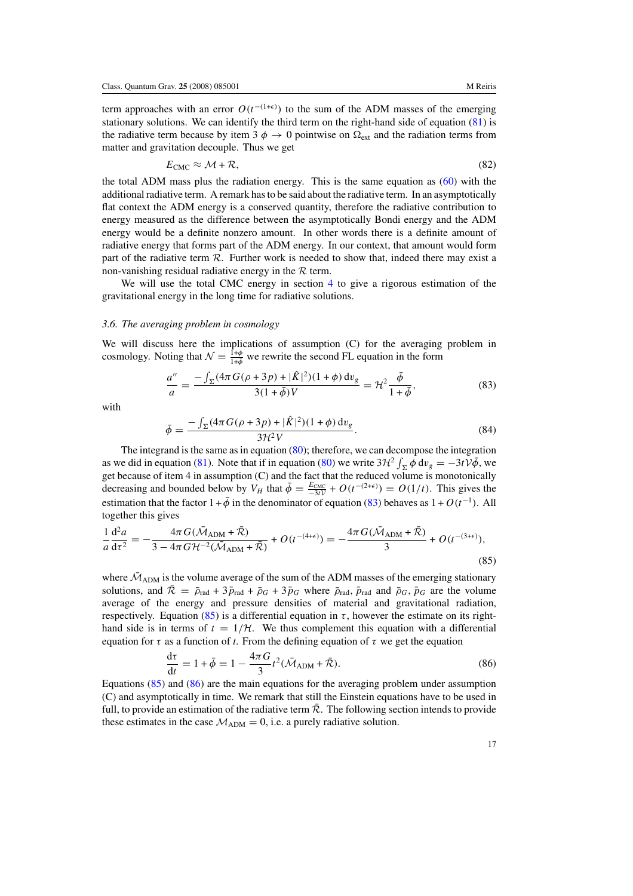<span id="page-17-0"></span>term approaches with an error  $O(t^{-(1+\epsilon)})$  to the sum of the ADM masses of the emerging stationary solutions. We can identify the third term on the right-hand side of equation [\(81\)](#page-16-0) is the radiative term because by item 3  $\phi \rightarrow 0$  pointwise on  $\Omega_{\text{ext}}$  and the radiation terms from matter and gravitation decouple. Thus we get

$$
E_{\text{CMC}} \approx \mathcal{M} + \mathcal{R},\tag{82}
$$

the total ADM mass plus the radiation energy. This is the same equation as  $(60)$  with the additional radiative term. A remark has to be said about the radiative term. In an asymptotically flat context the ADM energy is a conserved quantity, therefore the radiative contribution to energy measured as the difference between the asymptotically Bondi energy and the ADM energy would be a definite nonzero amount. In other words there is a definite amount of radiative energy that forms part of the ADM energy. In our context, that amount would form part of the radiative term  $R$ . Further work is needed to show that, indeed there may exist a non-vanishing residual radiative energy in the  $R$  term.

We will use the total CMC energy in section [4](#page-18-0) to give a rigorous estimation of the gravitational energy in the long time for radiative solutions.

#### *3.6. The averaging problem in cosmology*

We will discuss here the implications of assumption (C) for the averaging problem in cosmology. Noting that  $\mathcal{N} = \frac{\bar{1}+\phi}{1+\bar{\phi}}$  we rewrite the second FL equation in the form

$$
\frac{a''}{a} = \frac{-\int_{\Sigma} (4\pi G(\rho + 3p) + |\hat{K}|^2)(1+\phi) dv_g}{3(1+\bar{\phi})V} = \mathcal{H}^2 \frac{\bar{\phi}}{1+\bar{\phi}},
$$
(83)

with

$$
\bar{\phi} = \frac{-\int_{\Sigma} (4\pi G(\rho + 3p) + |\hat{K}|^2)(1 + \phi) dv_g}{3\mathcal{H}^2 V}.
$$
\n(84)

The integrand is the same as in equation [\(80\)](#page-16-0); therefore, we can decompose the integration as we did in equation [\(81\)](#page-16-0). Note that if in equation [\(80\)](#page-16-0) we write  $3\mathcal{H}^2 \int_{\Sigma} \phi \, dv_g = -3t \mathcal{V} \bar{\phi}$ , we get because of item 4 in assumption (C) and the fact that the reduced volume is monotonically decreasing and bounded below by *V<sub>H</sub>* that  $\bar{\phi} = \frac{E_{\text{CMC}}}{-3t\mathcal{V}} + O(t^{-(2+\epsilon)}) = O(1/t)$ . This gives the estimation that the factor  $1 + \bar{\phi}$  in the denominator of equation (83) behaves as  $1 + O(t^{-1})$ . All together this gives

$$
\frac{1}{a}\frac{d^2a}{d\tau^2} = -\frac{4\pi G(\bar{\mathcal{M}}_{\text{ADM}} + \bar{\mathcal{R}})}{3 - 4\pi G \mathcal{H}^{-2}(\bar{\mathcal{M}}_{\text{ADM}} + \bar{\mathcal{R}})} + O(t^{-(4+\epsilon)}) = -\frac{4\pi G(\bar{\mathcal{M}}_{\text{ADM}} + \bar{\mathcal{R}})}{3} + O(t^{-(3+\epsilon)}),\tag{85}
$$

where  $\bar{M}_{ADM}$  is the volume average of the sum of the ADM masses of the emerging stationary solutions, and  $\overline{R} = \overline{\rho}_{rad} + 3\overline{p}_{rad} + \overline{\rho}_{G} + 3\overline{p}_{G}$  where  $\overline{\rho}_{rad}$ ,  $\overline{p}_{rad}$  and  $\overline{\rho}_{G}$ ,  $\overline{p}_{G}$  are the volume average of the energy and pressure densities of material and gravitational radiation, respectively. Equation (85) is a differential equation in *τ*, however the estimate on its righthand side is in terms of  $t = 1/\mathcal{H}$ . We thus complement this equation with a differential equation for  $\tau$  as a function of *t*. From the defining equation of  $\tau$  we get the equation

$$
\frac{\mathrm{d}\tau}{\mathrm{d}t} = 1 + \bar{\phi} = 1 - \frac{4\pi G}{3} t^2 (\bar{\mathcal{M}}_{\mathrm{ADM}} + \bar{\mathcal{R}}). \tag{86}
$$

Equations (85) and (86) are the main equations for the averaging problem under assumption (C) and asymptotically in time. We remark that still the Einstein equations have to be used in full, to provide an estimation of the radiative term  $\bar{\mathcal{R}}$ . The following section intends to provide these estimates in the case  $M_{ADM} = 0$ , i.e. a purely radiative solution.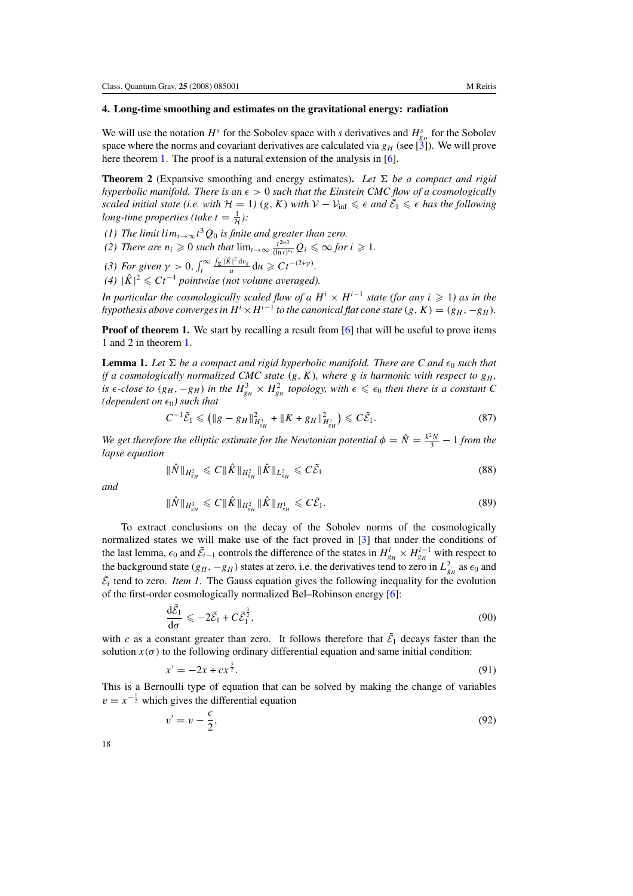# <span id="page-18-0"></span>**4. Long-time smoothing and estimates on the gravitational energy: radiation**

We will use the notation  $H^s$  for the Sobolev space with *s* derivatives and  $H^s_{g_H}$  for the Sobolev space where the norms and covariant derivatives are calculated via  $g_H$  (see [\[3\]](#page-26-0)). We will prove here theorem [1.](#page-4-0) The proof is a natural extension of the analysis in [\[6](#page-26-0)].

**Theorem 2** (Expansive smoothing and energy estimates). Let  $\Sigma$  be a compact and rigid *hyperbolic manifold. There is an*  $\epsilon > 0$  *such that the Einstein CMC flow of a cosmologically scaled initial state (i.e. with*  $H = 1$ )  $(g, K)$  *with*  $V - V_{\text{inf}} \leq \epsilon$  *and*  $\tilde{E}_1 \leq \epsilon$  *has the following long-time properties (take t =*  $\frac{1}{\mathcal{H}}$ *):* 

- *(1)* The limit  $lim_{t\to\infty} t^3 Q_0$  is finite and greater than zero.
- *(2) There are*  $n_i \geq 0$  *such that*  $\lim_{t\to\infty} \frac{t^{2i+3}}{(\ln t)^{n_i}} Q_i \leq \infty$  for  $i \geq 1$ .
- *(3) For given*  $\gamma > 0$ ,  $\int_t^{\infty}$ *t*  $\frac{\int_{\Sigma} |\hat{K}|^2 dv_g}{u} du \geq C t^{-(2+\gamma)}$ .
- *(4)*  $|\hat{K}|^2$  ≤  $Ct^{-4}$  *pointwise (not volume averaged).*

*In particular the cosmologically scaled flow of a H<sup>i</sup>* × *H<sup>i</sup>*−<sup>1</sup> *state (for any i* - 1*) as in the hypothesis above converges in*  $H^i \times H^{i-1}$  *to the canonical flat cone state*  $(g, K) = (g_H, -g_H)$ *.* 

**Proof of theorem 1.** We start by recalling a result from [\[6](#page-26-0)] that will be useful to prove items 1 and 2 in theorem [1.](#page-4-0)

**Lemma 1.** Let  $\Sigma$  be a compact and rigid hyperbolic manifold. There are C and  $\epsilon_0$  such that *if a cosmologically normalized CMC state*  $(g, K)$ *, where g is harmonic with respect to*  $g_H$ *, is*  $\epsilon$ -close to  $(g_H, -g_H)$  *in the*  $H_{g_H}^3 \times H_{g_H}^2$  topology, with  $\epsilon \leq \epsilon_0$  then there is a constant C *(dependent on*  $\epsilon_0$ *) such that* 

$$
C^{-1}\tilde{\mathcal{E}}_1 \leq (||g - g_H||_{H_{g_H}^3}^2 + ||K + g_H||_{H_{g_H}^2}^2) \leqslant C\tilde{\mathcal{E}}_1.
$$
\n(87)

*We get therefore the elliptic estimate for the Newtonian potential*  $\phi = \hat{N} = \frac{k^2 N}{3} - 1$  *from the lapse equation*

$$
\|\hat{N}\|_{H_{g_H}^2} \leqslant C \|\hat{K}\|_{H_{g_H}^2} \|\hat{K}\|_{L_{g_H}^2} \leqslant C\tilde{\mathcal{E}}_1
$$
\n(88)

*and*

$$
\|\hat{N}\|_{H^3_{g_H}} \leqslant C \|\hat{K}\|_{H^2_{g_H}} \|\hat{K}\|_{H^1_{g_H}} \leqslant C\tilde{\mathcal{E}}_1. \tag{89}
$$

To extract conclusions on the decay of the Sobolev norms of the cosmologically normalized states we will make use of the fact proved in [\[3\]](#page-26-0) that under the conditions of the last lemma,  $\epsilon_0$  and  $\tilde{E}_{i-1}$  controls the difference of the states in  $H_{g_H}^i \times H_{g_H}^{i-1}$  with respect to the background state  $(g_H, -g_H)$  states at zero, i.e. the derivatives tend to zero in  $L_{g_H}^2$  as  $\epsilon_0$  and  $\tilde{\mathcal{E}}_i$  tend to zero. *Item 1*. The Gauss equation gives the following inequality for the evolution of the first-order cosmologically normalized Bel–Robinson energy [\[6\]](#page-26-0):

$$
\frac{\mathrm{d}\tilde{\mathcal{E}}_1}{\mathrm{d}\sigma} \leqslant -2\tilde{\mathcal{E}}_1 + C\tilde{\mathcal{E}}_1^{\frac{3}{2}},\tag{90}
$$

with *c* as a constant greater than zero. It follows therefore that  $\tilde{E}_1$  decays faster than the solution  $x(\sigma)$  to the following ordinary differential equation and same initial condition:

$$
x' = -2x + cx^{\frac{3}{2}}.
$$
\n(91)

This is a Bernoulli type of equation that can be solved by making the change of variables  $v = x^{-\frac{1}{2}}$  which gives the differential equation

$$
v' = v - \frac{c}{2},\tag{92}
$$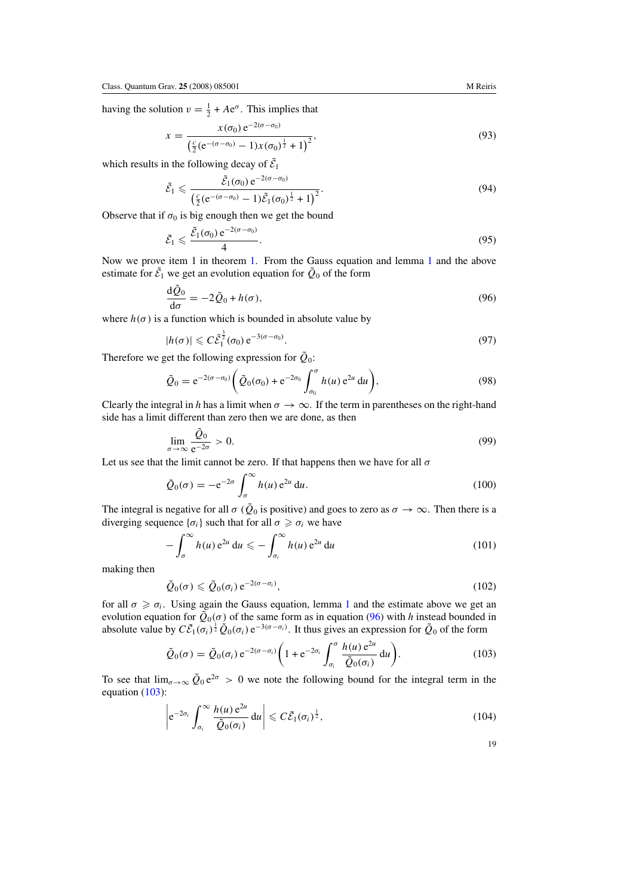having the solution  $v = \frac{1}{2} + Ae^{\sigma}$ . This implies that

$$
x = \frac{x(\sigma_0) e^{-2(\sigma - \sigma_0)}}{\left(\frac{c}{2} (e^{-(\sigma - \sigma_0)} - 1) x (\sigma_0)^{\frac{1}{2}} + 1\right)^2},\tag{93}
$$

which results in the following decay of  $\tilde{\mathcal{E}}_1$ 

$$
\tilde{\mathcal{E}}_1 \leq \frac{\tilde{\mathcal{E}}_1(\sigma_0) e^{-2(\sigma - \sigma_0)}}{\left(\frac{c}{2} (e^{-(\sigma - \sigma_0)} - 1) \tilde{\mathcal{E}}_1(\sigma_0)^{\frac{1}{2}} + 1\right)^2}.
$$
\n(94)

Observe that if  $\sigma_0$  is big enough then we get the bound

$$
\tilde{\mathcal{E}}_1 \leqslant \frac{\tilde{\mathcal{E}}_1(\sigma_0) e^{-2(\sigma - \sigma_0)}}{4}.
$$
\n(95)

Now we prove item 1 in theorem [1.](#page-4-0) From the Gauss equation and lemma [1](#page-18-0) and the above estimate for  $\tilde{\mathcal{E}}_1$  we get an evolution equation for  $\tilde{\mathcal{Q}}_0$  of the form

$$
\frac{\mathrm{d}\tilde{Q}_0}{\mathrm{d}\sigma} = -2\tilde{Q}_0 + h(\sigma),\tag{96}
$$

where  $h(\sigma)$  is a function which is bounded in absolute value by

$$
|h(\sigma)| \leqslant C \tilde{\mathcal{E}}_1^{\frac{3}{2}}(\sigma_0) e^{-3(\sigma - \sigma_0)}.
$$
\n
$$
(97)
$$

Therefore we get the following expression for  $\tilde{Q}_0$ :

$$
\tilde{Q}_0 = e^{-2(\sigma - \sigma_0)} \left( \tilde{Q}_0(\sigma_0) + e^{-2\sigma_0} \int_{\sigma_0}^{\sigma} h(u) e^{2u} du \right),
$$
\n(98)

Clearly the integral in *h* has a limit when  $\sigma \to \infty$ . If the term in parentheses on the right-hand side has a limit different than zero then we are done, as then

$$
\lim_{\sigma \to \infty} \frac{\tilde{Q}_0}{e^{-2\sigma}} > 0. \tag{99}
$$

Let us see that the limit cannot be zero. If that happens then we have for all  $\sigma$ 

$$
\tilde{Q}_0(\sigma) = -e^{-2\sigma} \int_{\sigma}^{\infty} h(u) e^{2u} du.
$$
\n(100)

The integral is negative for all  $\sigma$  ( $\tilde{Q}_0$  is positive) and goes to zero as  $\sigma \to \infty$ . Then there is a diverging sequence  $\{\sigma_i\}$  such that for all  $\sigma \geq \sigma_i$  we have

$$
-\int_{\sigma}^{\infty} h(u) e^{2u} du \leqslant -\int_{\sigma_i}^{\infty} h(u) e^{2u} du \qquad (101)
$$

making then

$$
\tilde{Q}_0(\sigma) \leqslant \tilde{Q}_0(\sigma_i) e^{-2(\sigma - \sigma_i)},\tag{102}
$$

for all  $\sigma \geq \sigma_i$ . Using again the Gauss equation, lemma [1](#page-18-0) and the estimate above we get an evolution equation for  $\tilde{Q}_0(\sigma)$  of the same form as in equation (96) with *h* instead bounded in absolute value by  $C\tilde{\mathcal{E}}_1(\sigma_i)^{\frac{1}{2}}\tilde{Q}_0(\sigma_i) e^{-3(\sigma-\sigma_i)}$ . It thus gives an expression for  $\tilde{Q}_0$  of the form

$$
\tilde{Q}_0(\sigma) = \tilde{Q}_0(\sigma_i) e^{-2(\sigma - \sigma_i)} \left( 1 + e^{-2\sigma_i} \int_{\sigma_i}^{\sigma} \frac{h(u) e^{2u}}{\tilde{Q}_0(\sigma_i)} du \right).
$$
\n(103)

To see that  $\lim_{\sigma\to\infty} \tilde{Q}_0 e^{2\sigma} > 0$  we note the following bound for the integral term in the equation (103):

$$
\left| e^{-2\sigma_i} \int_{\sigma_i}^{\infty} \frac{h(u) e^{2u}}{\tilde{Q}_0(\sigma_i)} du \right| \leqslant C \tilde{\mathcal{E}}_1(\sigma_i)^{\frac{1}{2}}, \tag{104}
$$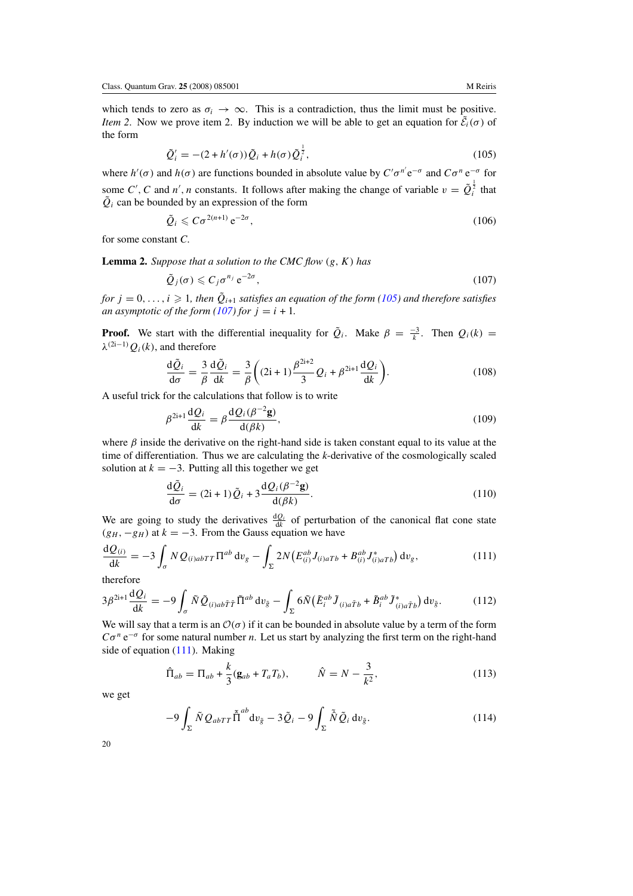<span id="page-20-0"></span>which tends to zero as  $\sigma_i \to \infty$ . This is a contradiction, thus the limit must be positive. *Item 2.* Now we prove item 2. By induction we will be able to get an equation for  $\tilde{\mathcal{E}}_i(\sigma)$  of the form

$$
\tilde{Q}'_i = -(2 + h'(\sigma))\tilde{Q}_i + h(\sigma)\tilde{Q}_i^{\frac{1}{2}},\tag{105}
$$

where  $h'(\sigma)$  and  $h(\sigma)$  are functions bounded in absolute value by  $C'\sigma^{n'}e^{-\sigma}$  and  $C\sigma^{n}e^{-\sigma}$  for some *C*', *C* and *n'*, *n* constants. It follows after making the change of variable  $v = \tilde{Q}_i^{\frac{1}{2}}$  that  $\tilde{Q}_i$  can be bounded by an expression of the form

$$
\tilde{Q}_i \leqslant C\sigma^{2(n+1)}\,\mathrm{e}^{-2\sigma},\tag{106}
$$

for some constant *C*.

**Lemma 2.** *Suppose that a solution to the CMC flow (g, K) has*

$$
\tilde{Q}_j(\sigma) \leqslant C_j \sigma^{n_j} e^{-2\sigma},\tag{107}
$$

*for*  $j = 0, \ldots, i \geqslant 1$ , then  $\tilde{Q}_{i+1}$  satisfies an equation of the form (105) and therefore satisfies *an asymptotic of the form (107) for*  $j = i + 1$ .

**Proof.** We start with the differential inequality for  $\tilde{Q}_i$ . Make  $\beta = \frac{-3}{k}$ . Then  $Q_i(k)$  $\lambda^{(2i-1)}$   $Q_i(k)$ , and therefore

$$
\frac{\mathrm{d}\tilde{Q}_i}{\mathrm{d}\sigma} = \frac{3}{\beta} \frac{\mathrm{d}\tilde{Q}_i}{\mathrm{d}k} = \frac{3}{\beta} \bigg( (2\mathrm{i} + 1) \frac{\beta^{2\mathrm{i}+2}}{3} Q_i + \beta^{2\mathrm{i}+1} \frac{\mathrm{d}Q_i}{\mathrm{d}k} \bigg). \tag{108}
$$

A useful trick for the calculations that follow is to write

$$
\beta^{2i+1} \frac{\mathrm{d}Q_i}{\mathrm{d}k} = \beta \frac{\mathrm{d}Q_i (\beta^{-2} \mathbf{g})}{\mathrm{d}(\beta k)},\tag{109}
$$

where  $\beta$  inside the derivative on the right-hand side is taken constant equal to its value at the time of differentiation. Thus we are calculating the *k*-derivative of the cosmologically scaled solution at  $k = -3$ . Putting all this together we get

$$
\frac{\mathrm{d}\tilde{Q}_i}{\mathrm{d}\sigma} = (2i+1)\tilde{Q}_i + 3\frac{\mathrm{d}Q_i(\beta^{-2}\mathbf{g})}{\mathrm{d}(\beta k)}.
$$
\n(110)

We are going to study the derivatives  $\frac{dQ_i}{dk}$  of perturbation of the canonical flat cone state  $(g_H, -g_H)$  at  $k = -3$ . From the Gauss equation we have

$$
\frac{dQ_{(i)}}{dk} = -3 \int_{\sigma} N Q_{(i)a b T T} \Pi^{ab} dv_{g} - \int_{\Sigma} 2N (E_{(i)}^{ab} J_{(i)a T b} + B_{(i)}^{ab} J_{(i)a T b}^{*}) dv_{g},
$$
\n(111)

therefore

$$
3\beta^{2i+1}\frac{\mathrm{d}Q_i}{\mathrm{d}k} = -9\int_{\sigma}\tilde{N}\tilde{Q}_{(i)a b\tilde{T}\tilde{T}}\tilde{\Pi}^{ab}\,\mathrm{d}v_{\tilde{g}} - \int_{\Sigma}6\tilde{N}\big(\tilde{E}_i^{ab}\tilde{J}_{(i)a\tilde{T}b} + \tilde{B}_i^{ab}\tilde{J}_{(i)a\tilde{T}b}^*\big)\,\mathrm{d}v_{\tilde{g}}.\tag{112}
$$

We will say that a term is an  $\mathcal{O}(\sigma)$  if it can be bounded in absolute value by a term of the form  $C\sigma^{n} e^{-\sigma}$  for some natural number *n*. Let us start by analyzing the first term on the right-hand side of equation (111). Making

$$
\hat{\Pi}_{ab} = \Pi_{ab} + \frac{k}{3} (\mathbf{g}_{ab} + T_a T_b), \qquad \hat{N} = N - \frac{3}{k^2}, \qquad (113)
$$

we get

$$
-9\int_{\Sigma} \tilde{N} Q_{abTT} \tilde{\Pi}^{ab} dv_{\tilde{g}} - 3 \tilde{Q}_i - 9 \int_{\Sigma} \tilde{\tilde{N}} \tilde{Q}_i dv_{\tilde{g}}.
$$
 (114)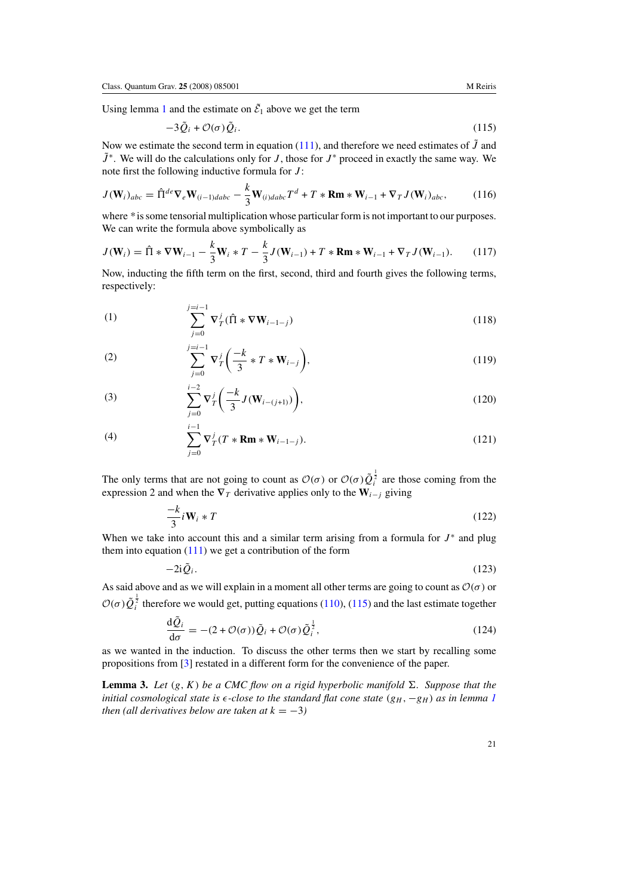<span id="page-21-0"></span>Using lemma [1](#page-18-0) and the estimate on  $\tilde{E}_1$  above we get the term

$$
-3\tilde{Q}_i + \mathcal{O}(\sigma)\tilde{Q}_i. \tag{115}
$$

Now we estimate the second term in equation [\(111\)](#page-20-0), and therefore we need estimates of  $\tilde{J}$  and *J*˜<sup>∗</sup>. We will do the calculations only for *J* , those for *J* <sup>∗</sup> proceed in exactly the same way. We note first the following inductive formula for *J* :

$$
J(\mathbf{W}_i)_{abc} = \hat{\Pi}^{de} \nabla_e \mathbf{W}_{(i-1)dabc} - \frac{k}{3} \mathbf{W}_{(i)dabc} T^d + T * \mathbf{Rm} * \mathbf{W}_{i-1} + \nabla_T J(\mathbf{W}_i)_{abc},
$$
 (116)

where *\** is some tensorial multiplication whose particular form is not important to our purposes. We can write the formula above symbolically as

$$
J(\mathbf{W}_i) = \hat{\Pi} * \nabla \mathbf{W}_{i-1} - \frac{k}{3} \mathbf{W}_i * T - \frac{k}{3} J(\mathbf{W}_{i-1}) + T * \mathbf{Rm} * \mathbf{W}_{i-1} + \nabla_T J(\mathbf{W}_{i-1}).
$$
 (117)

Now, inducting the fifth term on the first, second, third and fourth gives the following terms, respectively:

(1) 
$$
\sum_{j=0}^{j=i-1} \nabla_T^j (\hat{\Pi} * \nabla W_{i-1-j})
$$
 (118)

(2) 
$$
\sum_{j=0}^{j=i-1} \nabla_T^j \left( \frac{-k}{3} * T * W_{i-j} \right),
$$
 (119)

(3) 
$$
\sum_{j=0}^{i-2} \nabla_T^j \left( \frac{-k}{3} J(\mathbf{W}_{i-(j+1)}) \right),
$$
 (120)

(4) 
$$
\sum_{j=0}^{i-1} \nabla_T^j (T * \mathbf{Rm} * \mathbf{W}_{i-1-j}).
$$
 (121)

The only terms that are not going to count as  $\mathcal{O}(\sigma)$  or  $\mathcal{O}(\sigma) \tilde{Q}_i^{\frac{1}{2}}$  are those coming from the expression 2 and when the  $\nabla_T$  derivative applies only to the  $W_{i-j}$  giving

$$
\frac{-k}{3}i\mathbf{W}_i * T \tag{122}
$$

When we take into account this and a similar term arising from a formula for  $J^*$  and plug them into equation  $(111)$  we get a contribution of the form

$$
-2i\tilde{Q}_i. \tag{123}
$$

As said above and as we will explain in a moment all other terms are going to count as O*(σ )* or  $\mathcal{O}(\sigma) \tilde{Q}_i^{\frac{1}{2}}$  therefore we would get, putting equations [\(110\)](#page-20-0), (115) and the last estimate together

$$
\frac{\mathrm{d}\tilde{Q}_i}{\mathrm{d}\sigma} = -(2 + \mathcal{O}(\sigma))\tilde{Q}_i + \mathcal{O}(\sigma)\tilde{Q}_i^{\frac{1}{2}},\tag{124}
$$

as we wanted in the induction. To discuss the other terms then we start by recalling some propositions from [\[3\]](#page-26-0) restated in a different form for the convenience of the paper.

**Lemma 3.** Let  $(g, K)$  be a CMC flow on a rigid hyperbolic manifold  $\Sigma$ . Suppose that the *initial cosmological state is*  $\epsilon$ -close to the standard flat cone state  $(g_H, -g_H)$  as in lemma [1](#page-18-0) *then (all derivatives below are taken at*  $k = -3$ *)*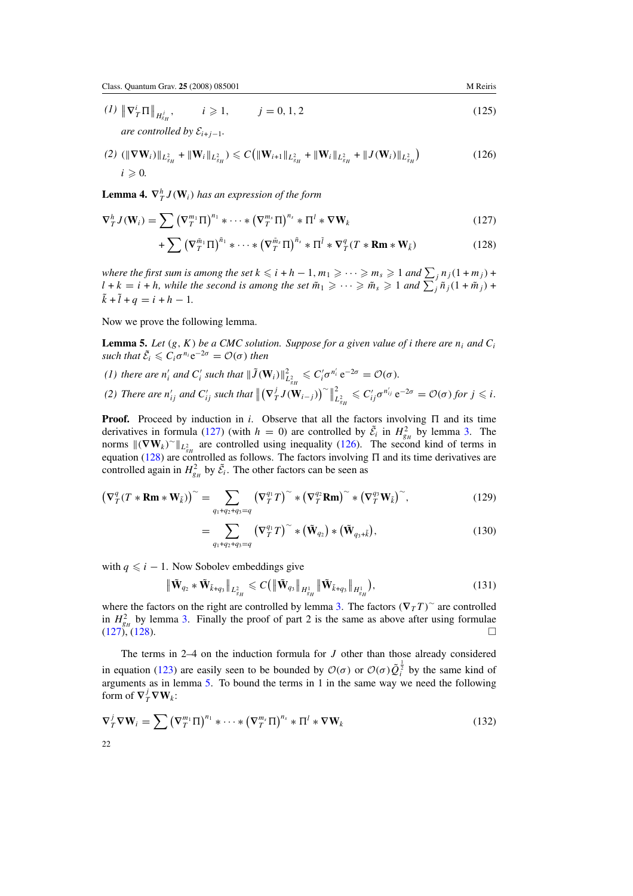$(l)$   $\left\| \nabla^i_T \Pi \right\|_{H^j_{s_H}}$ *,*  $i \ge 1$ ,  $j = 0, 1, 2$  (125)

*are controlled by*  $\mathcal{E}_{i+j-1}$ *.* 

$$
(2) \left( \|\nabla \mathbf{W}_i\|_{L^2_{SH}} + \|\mathbf{W}_i\|_{L^2_{SH}} \right) \leq C \left( \|\mathbf{W}_{i+1}\|_{L^2_{SH}} + \|\mathbf{W}_i\|_{L^2_{SH}} + \|J(\mathbf{W}_i)\|_{L^2_{SH}} \right) \tag{126}
$$
  
 $i \geq 0.$ 

**Lemma 4.**  $\nabla_T^h J(\mathbf{W}_i)$  has an expression of the form

$$
\nabla_T^h J(\mathbf{W}_i) = \sum (\nabla_T^{m_1} \Pi)^{n_1} * \cdots * (\nabla_T^{m_s} \Pi)^{n_s} * \Pi^l * \nabla \mathbf{W}_k
$$
\n
$$
+ \sum (\nabla_T^{\tilde{m}_1} \Pi)^{\tilde{n}_1} * \cdots * (\nabla_T^{\tilde{m}_s} \Pi)^{\tilde{n}_s} * \Pi^{\tilde{l}} * \nabla_T^q (T * \mathbf{Rm} * \mathbf{W}_{\tilde{k}})
$$
\n(128)

*where the first sum is among the set*  $k \leqslant i + h - 1$ ,  $m_1 \geqslant \cdots \geqslant m_s \geqslant 1$  and  $\sum_j n_j (1 + m_j) + 1$  $l + k = i + h$ , while the second is among the set  $\tilde{m}_1 \geqslant \cdots \geqslant \tilde{m}_s \geqslant 1$  and  $\sum_j \tilde{n}_j(1 + \tilde{m}_j) +$  $\tilde{k} + \tilde{l} + q = i + h - 1.$ 

Now we prove the following lemma.

**Lemma 5.** Let  $(g, K)$  be a CMC solution. Suppose for a given value of i there are  $n_i$  and  $C_i$ *such that*  $\tilde{\mathcal{E}}_i \leqslant C_i \sigma^{n_i} e^{-2\sigma} = \mathcal{O}(\sigma)$  *then* 

*(1) there are*  $n'_i$  *and*  $C'_i$  *such that*  $\|\tilde{J}(\mathbf{W}_i)\|_{L^2_{s_H}}^2 \leqslant C'_i \sigma^{n'_i} e^{-2\sigma} = \mathcal{O}(\sigma)$ *.* 

(2) There are 
$$
n'_{ij}
$$
 and  $C'_{ij}$  such that  $\|(\nabla^j_T J(\mathbf{W}_{i-j}))^{\sim}\|^2_{L^2_{s_H}} \leq C'_{ij} \sigma^{n'_{ij}} e^{-2\sigma} = \mathcal{O}(\sigma)$  for  $j \leq i$ .

**Proof.** Proceed by induction in *i*. Observe that all the factors involving  $\Pi$  and its time derivatives in formula (127) (with  $h = 0$ ) are controlled by  $\tilde{\mathcal{E}}_i$  in  $H_{g_H}^2$  by lemma [3.](#page-21-0) The norms  $\|(\nabla \mathbf{W}_k)^{\sim}\|_{L_{\mathcal{S}_H}^2}$  are controlled using inequality (126). The second kind of terms in equation (128) are controlled as follows. The factors involving  $\Pi$  and its time derivatives are controlled again in  $H_{\text{g}_{H}}^{2}$  by  $\tilde{\mathcal{E}}_{i}$ . The other factors can be seen as

$$
\left(\nabla_T^q(T*\mathbf{Rm}*\mathbf{W}_{\bar{k}})\right)^{\sim} = \sum_{q_1+q_2+q_3=q} \left(\nabla_T^{q_1}T\right)^{\sim} * \left(\nabla_T^{q_2}\mathbf{Rm}\right)^{\sim} * \left(\nabla_T^{q_3}\mathbf{W}_{\bar{k}}\right)^{\sim},\tag{129}
$$

$$
=\sum_{q_1+q_2+q_3=q} \left(\nabla_T^{q_1} T\right)^{\sim} * \left(\tilde{\mathbf{W}}_{q_2}\right) * \left(\tilde{\mathbf{W}}_{q_3+\tilde{k}}\right),\tag{130}
$$

with  $q \le i - 1$ . Now Sobolev embeddings give

$$
\left\| \tilde{\mathbf{W}}_{q_2} * \tilde{\mathbf{W}}_{\tilde{k} + q_3} \right\|_{L^2_{s_H}} \leqslant C \left( \left\| \tilde{\mathbf{W}}_{q_3} \right\|_{H^1_{s_H}} \left\| \tilde{\mathbf{W}}_{\tilde{k} + q_3} \right\|_{H^1_{s_H}} \right), \tag{131}
$$

where the factors on the right are controlled by lemma [3.](#page-21-0) The factors  $(\nabla_T T)$ <sup>~</sup> are controlled in  $H_{g_H}^2$  by lemma [3.](#page-21-0) Finally the proof of part 2 is the same as above after using formulae  $(127), (128).$ 

The terms in 2–4 on the induction formula for *J* other than those already considered in equation [\(123\)](#page-21-0) are easily seen to be bounded by  $\mathcal{O}(\sigma)$  or  $\mathcal{O}(\sigma) \tilde{Q}_i^{\frac{1}{2}}$  by the same kind of arguments as in lemma 5. To bound the terms in 1 in the same way we need the following form of  $\nabla^j_T \nabla \mathbf{W}_k$ :

$$
\nabla_T^j \nabla \mathbf{W}_i = \sum \left( \nabla_T^{m_1} \Pi \right)^{n_1} * \cdots * \left( \nabla_T^{m_s} \Pi \right)^{n_s} * \Pi^l * \nabla \mathbf{W}_k
$$
\n(132)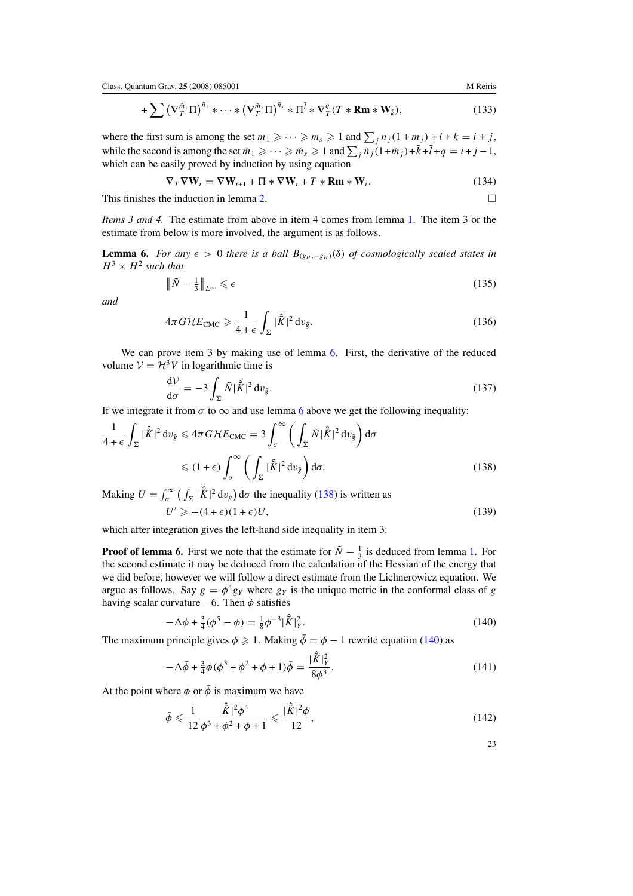<span id="page-23-0"></span>Class. Quantum Grav. **25** (2008) 085001 M Reiris

$$
+\sum \left(\nabla_{T}^{\tilde{m}_{1}}\Pi\right)^{\tilde{n}_{1}}*\cdots*\left(\nabla_{T}^{\tilde{m}_{s}}\Pi\right)^{\tilde{n}_{s}}*\Pi^{\tilde{l}}*\nabla_{T}^{q}(T*\mathbf{Rm}*\mathbf{W}_{\tilde{k}}),\tag{133}
$$

where the first sum is among the set  $m_1 \geqslant \cdots \geqslant m_s \geqslant 1$  and  $\sum_j n_j(1 + m_j) + l + k = i + j$ , while the second is among the set  $\tilde{m}_1 \geqslant \cdots \geqslant \tilde{m}_s \geqslant 1$  and  $\sum_j \tilde{n}_j (1 + \tilde{m}_j) + \tilde{k} + \tilde{l} + q = i + j - 1$ , which can be easily proved by induction by using equation

$$
\nabla_T \nabla \mathbf{W}_i = \nabla \mathbf{W}_{i+1} + \Pi \ast \nabla \mathbf{W}_i + T \ast \mathbf{Rm} \ast \mathbf{W}_i.
$$
 (134)

This finishes the induction in lemma [2.](#page-20-0)

*Items 3 and 4.* The estimate from above in item 4 comes from lemma [1.](#page-18-0) The item 3 or the estimate from below is more involved, the argument is as follows.

**Lemma 6.** *For any*  $\epsilon > 0$  *there is a ball*  $B_{(g_H, -g_H)}(\delta)$  *of cosmologically scaled states in*  $H^3 \times H^2$  *such that* 

$$
\|\tilde{N} - \frac{1}{3}\|_{L^{\infty}} \leqslant \epsilon \tag{135}
$$

*and*

$$
4\pi G\mathcal{H}E_{\text{CMC}} \geqslant \frac{1}{4+\epsilon} \int_{\Sigma} |\hat{K}|^2 dv_{\tilde{g}}.
$$
 (136)

We can prove item 3 by making use of lemma 6. First, the derivative of the reduced volume  $V = H^3V$  in logarithmic time is

$$
\frac{\mathrm{d}\mathcal{V}}{\mathrm{d}\sigma} = -3 \int_{\Sigma} \tilde{N} |\hat{\tilde{K}}|^2 \,\mathrm{d}v_{\tilde{g}}.\tag{137}
$$

If we integrate it from  $\sigma$  to  $\infty$  and use lemma 6 above we get the following inequality:

$$
\frac{1}{4+\epsilon} \int_{\Sigma} |\hat{\tilde{K}}|^2 dv_{\tilde{g}} \leq 4\pi G \mathcal{H} E_{\text{CMC}} = 3 \int_{\sigma}^{\infty} \left( \int_{\Sigma} \tilde{N} |\hat{\tilde{K}}|^2 dv_{\tilde{g}} \right) d\sigma
$$
  

$$
\leq (1+\epsilon) \int_{\sigma}^{\infty} \left( \int_{\Sigma} |\hat{\tilde{K}}|^2 dv_{\tilde{g}} \right) d\sigma.
$$
 (138)

Making  $U = \int_{\sigma}^{\infty}$  $\int_{\sigma}^{\infty} \left( \int_{\Sigma} |\hat{K}|^2 dv_{\tilde{g}} \right) d\sigma$  the inequality (138) is written as

$$
U' \geqslant -(4+\epsilon)(1+\epsilon)U,\tag{139}
$$

which after integration gives the left-hand side inequality in item 3.

**Proof of lemma 6.** First we note that the estimate for  $\tilde{N} - \frac{1}{3}$  is deduced from lemma [1.](#page-18-0) For the second estimate it may be deduced from the calculation of the Hessian of the energy that we did before, however we will follow a direct estimate from the Lichnerowicz equation. We argue as follows. Say  $g = \phi^4 g_Y$  where  $g_Y$  is the unique metric in the conformal class of *g* having scalar curvature  $-6$ . Then  $\phi$  satisfies

$$
-\Delta\phi + \frac{3}{4}(\phi^5 - \phi) = \frac{1}{8}\phi^{-3}|\hat{K}|_Y^2.
$$
 (140)

The maximum principle gives  $\phi \geq 1$ . Making  $\bar{\phi} = \phi - 1$  rewrite equation (140) as

$$
-\Delta \bar{\phi} + \frac{3}{4} \phi (\phi^3 + \phi^2 + \phi + 1) \bar{\phi} = \frac{|\hat{\tilde{K}}|_Y^2}{8\phi^3}.
$$
 (141)

At the point where  $\phi$  or  $\bar{\phi}$  is maximum we have

$$
\bar{\phi} \leq \frac{1}{12} \frac{|\hat{\tilde{K}}|^2 \phi^4}{\phi^3 + \phi^2 + \phi + 1} \leq \frac{|\hat{\tilde{K}}|^2 \phi}{12},\tag{142}
$$

23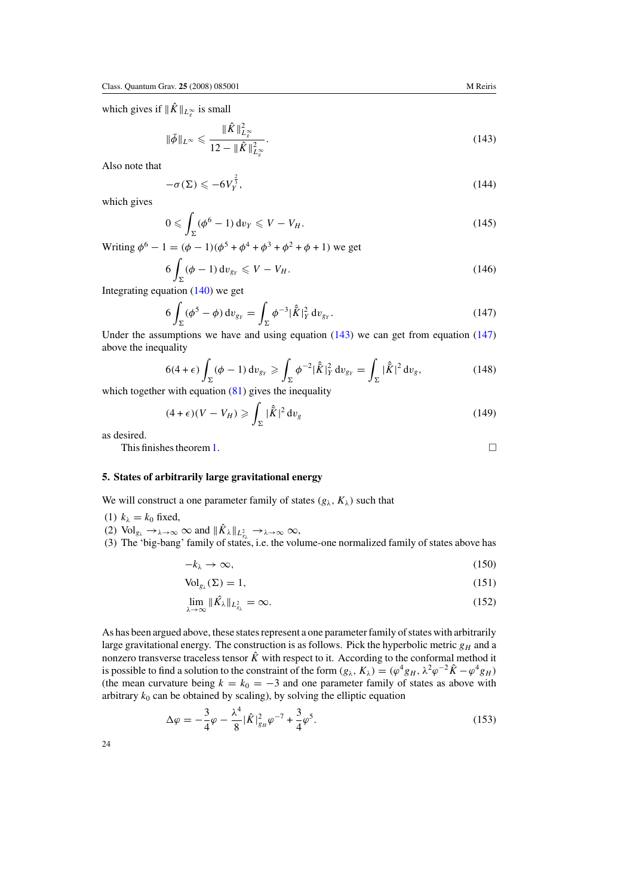<span id="page-24-0"></span>which gives if  $\|\hat{K}\|_{L^{\infty}_{g}}$  is small

$$
\|\bar{\phi}\|_{L^{\infty}} \leq \frac{\|\hat{K}\|_{L^{\infty}_{g}}^{2}}{12 - \|\hat{K}\|_{L^{\infty}_{g}}^{2}}.
$$
\n(143)

Also note that

$$
-\sigma(\Sigma) \leqslant -6V_Y^{\frac{2}{3}},\tag{144}
$$

which gives

$$
0 \leqslant \int_{\Sigma} (\phi^6 - 1) \, \mathrm{d}v_Y \leqslant V - V_H. \tag{145}
$$

Writing  $\phi^6 - 1 = (\phi - 1)(\phi^5 + \phi^4 + \phi^3 + \phi^2 + \phi + 1)$  we get

$$
6\int_{\Sigma} (\phi - 1) dv_{g_Y} \leqslant V - V_H. \tag{146}
$$

Integrating equation [\(140\)](#page-23-0) we get

$$
6\int_{\Sigma} (\phi^5 - \phi) dv_{g_Y} = \int_{\Sigma} \phi^{-3} |\hat{K}|_Y^2 dv_{g_Y}.
$$
 (147)

Under the assumptions we have and using equation  $(143)$  we can get from equation  $(147)$ above the inequality

$$
6(4+\epsilon)\int_{\Sigma}(\phi-1)\,\mathrm{d}v_{g_Y}\geqslant\int_{\Sigma}\phi^{-2}|\hat{K}|_Y^2\,\mathrm{d}v_{g_Y}=\int_{\Sigma}|\hat{K}|^2\,\mathrm{d}v_g,\tag{148}
$$

which together with equation  $(81)$  gives the inequality

$$
(4 + \epsilon)(V - V_H) \geqslant \int_{\Sigma} |\hat{K}|^2 dv_g \tag{149}
$$

as desired.

This finishes theorem [1.](#page-4-0)  $\Box$ 

# **5. States of arbitrarily large gravitational energy**

We will construct a one parameter family of states  $(g_{\lambda}, K_{\lambda})$  such that

(1)  $k_{\lambda} = k_0$  fixed,

 $(2) \text{Vol}_{g_{\lambda}} \to_{\lambda \to \infty} \infty \text{ and } ||\hat{K}_{\lambda}||_{L_{g_{\lambda}}^2} \to_{\lambda \to \infty} \infty,$ 

(3) The 'big-bang' family of states, i.e. the volume-one normalized family of states above has

$$
-k_{\lambda} \to \infty, \tag{150}
$$

$$
\text{Vol}_{g_{\lambda}}(\Sigma) = 1,\tag{151}
$$

$$
\lim_{\lambda \to \infty} \|\hat{K}_{\lambda}\|_{L^2_{g_{\lambda}}} = \infty. \tag{152}
$$

As has been argued above, these states represent a one parameter family of states with arbitrarily large gravitational energy. The construction is as follows. Pick the hyperbolic metric  $g_H$  and a nonzero transverse traceless tensor  $\hat{K}$  with respect to it. According to the conformal method it is possible to find a solution to the constraint of the form  $(g_\lambda, K_\lambda) = (\varphi^4 g_H, \lambda^2 \varphi^{-2} \hat{K} - \varphi^4 g_H)$ (the mean curvature being  $k = k_0 = -3$  and one parameter family of states as above with arbitrary  $k_0$  can be obtained by scaling), by solving the elliptic equation

$$
\Delta \varphi = -\frac{3}{4} \varphi - \frac{\lambda^4}{8} |\hat{K}|^2_{g_H} \varphi^{-7} + \frac{3}{4} \varphi^5. \tag{153}
$$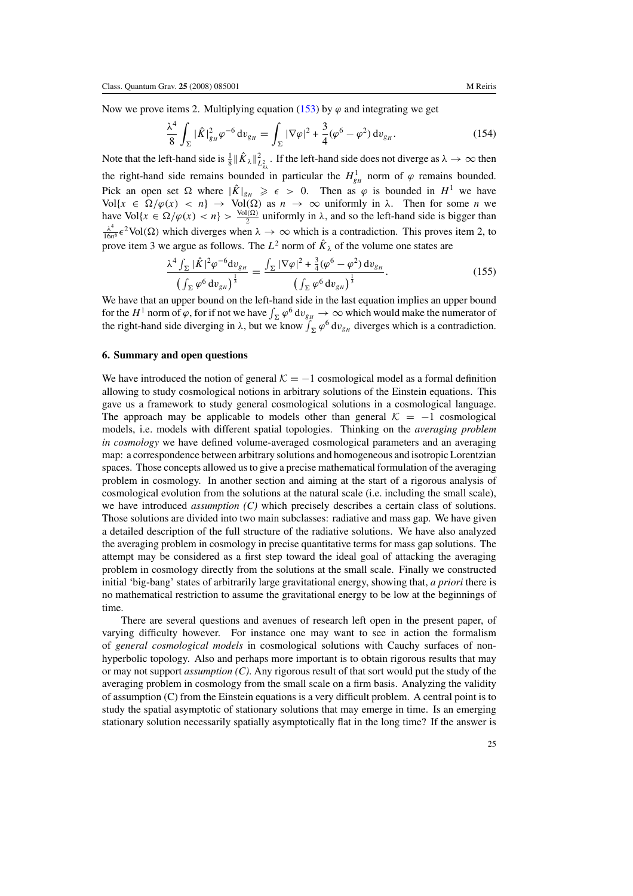<span id="page-25-0"></span>Now we prove items 2. Multiplying equation [\(153\)](#page-24-0) by  $\varphi$  and integrating we get

$$
\frac{\lambda^4}{8} \int_{\Sigma} |\hat{K}|^2_{g_H} \varphi^{-6} dv_{g_H} = \int_{\Sigma} |\nabla \varphi|^2 + \frac{3}{4} (\varphi^6 - \varphi^2) dv_{g_H}.
$$
 (154)

Note that the left-hand side is  $\frac{1}{8} \|\hat{K}_{\lambda}\|_{L_{g_{\lambda}}^2}^2$ . If the left-hand side does not diverge as  $\lambda \to \infty$  then the right-hand side remains bounded in particular the  $H_{g_H}^1$  norm of  $\varphi$  remains bounded. Pick an open set  $\Omega$  where  $|\hat{K}|_{g_H} \ge \epsilon > 0$ . Then as  $\varphi$  is bounded in  $H^1$  we have Vol $\{x \in \Omega/\varphi(x) < n\} \to \text{Vol}(\Omega)$  as  $n \to \infty$  uniformly in  $\lambda$ . Then for some *n* we have Vol $\{x \in \Omega/\varphi(x) < n\} > \frac{\text{Vol}(\Omega)}{2}$  uniformly in  $\lambda$ , and so the left-hand side is bigger than  $\frac{\lambda^4}{16n^6}$   $\epsilon^2$ Vol(Ω) which diverges when  $\lambda \to \infty$  which is a contradiction. This proves item 2, to prove item 3 we argue as follows. The  $L^2$  norm of  $\hat{K}_\lambda$  of the volume one states are

$$
\frac{\lambda^4 \int_{\Sigma} |\hat{K}|^2 \varphi^{-6} dv_{g_H}}{\left(\int_{\Sigma} \varphi^6 dv_{g_H}\right)^{\frac{1}{3}}} = \frac{\int_{\Sigma} |\nabla \varphi|^2 + \frac{3}{4} (\varphi^6 - \varphi^2) dv_{g_H}}{\left(\int_{\Sigma} \varphi^6 dv_{g_H}\right)^{\frac{1}{3}}}.
$$
\n(155)

We have that an upper bound on the left-hand side in the last equation implies an upper bound for the  $H^1$  norm of  $\varphi$ , for if not we have  $\int_{\Sigma} \varphi^6 dv_{g_{\frac{H}{2}}} \to \infty$  which would make the numerator of the right-hand side diverging in  $\lambda$ , but we know  $\int_{\Sigma} \varphi^6 dv_{g_H}$  diverges which is a contradiction.

## **6. Summary and open questions**

We have introduced the notion of general  $K = -1$  cosmological model as a formal definition allowing to study cosmological notions in arbitrary solutions of the Einstein equations. This gave us a framework to study general cosmological solutions in a cosmological language. The approach may be applicable to models other than general  $K = -1$  cosmological models, i.e. models with different spatial topologies. Thinking on the *averaging problem in cosmology* we have defined volume-averaged cosmological parameters and an averaging map: a correspondence between arbitrary solutions and homogeneous and isotropic Lorentzian spaces. Those concepts allowed us to give a precise mathematical formulation of the averaging problem in cosmology. In another section and aiming at the start of a rigorous analysis of cosmological evolution from the solutions at the natural scale (i.e. including the small scale), we have introduced *assumption (C)* which precisely describes a certain class of solutions. Those solutions are divided into two main subclasses: radiative and mass gap. We have given a detailed description of the full structure of the radiative solutions. We have also analyzed the averaging problem in cosmology in precise quantitative terms for mass gap solutions. The attempt may be considered as a first step toward the ideal goal of attacking the averaging problem in cosmology directly from the solutions at the small scale. Finally we constructed initial 'big-bang' states of arbitrarily large gravitational energy, showing that, *a priori* there is no mathematical restriction to assume the gravitational energy to be low at the beginnings of time.

There are several questions and avenues of research left open in the present paper, of varying difficulty however. For instance one may want to see in action the formalism of *general cosmological models* in cosmological solutions with Cauchy surfaces of nonhyperbolic topology. Also and perhaps more important is to obtain rigorous results that may or may not support *assumption (C)*. Any rigorous result of that sort would put the study of the averaging problem in cosmology from the small scale on a firm basis. Analyzing the validity of assumption (C) from the Einstein equations is a very difficult problem. A central point is to study the spatial asymptotic of stationary solutions that may emerge in time. Is an emerging stationary solution necessarily spatially asymptotically flat in the long time? If the answer is